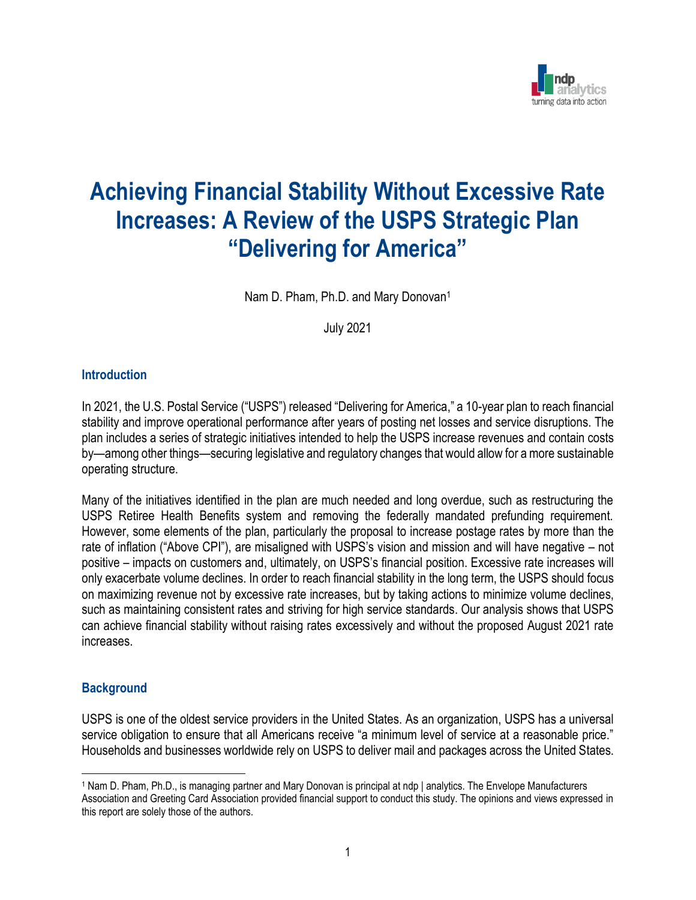

# **Achieving Financial Stability Without Excessive Rate Increases: A Review of the USPS Strategic Plan "Delivering for America"**

Nam D. Pham, Ph.D. and Mary Donovan<sup>1</sup>

July 2021

#### **Introduction**

In 2021, the U.S. Postal Service ("USPS") released "Delivering for America," a 10-year plan to reach financial stability and improve operational performance after years of posting net losses and service disruptions. The plan includes a series of strategic initiatives intended to help the USPS increase revenues and contain costs by—among other things—securing legislative and regulatory changes that would allow for a more sustainable operating structure.

Many of the initiatives identified in the plan are much needed and long overdue, such as restructuring the USPS Retiree Health Benefits system and removing the federally mandated prefunding requirement. However, some elements of the plan, particularly the proposal to increase postage rates by more than the rate of inflation ("Above CPI"), are misaligned with USPS's vision and mission and will have negative – not positive – impacts on customers and, ultimately, on USPS's financial position. Excessive rate increases will only exacerbate volume declines. In order to reach financial stability in the long term, the USPS should focus on maximizing revenue not by excessive rate increases, but by taking actions to minimize volume declines, such as maintaining consistent rates and striving for high service standards. Our analysis shows that USPS can achieve financial stability without raising rates excessively and without the proposed August 2021 rate increases.

#### **Background**

USPS is one of the oldest service providers in the United States. As an organization, USPS has a universal service obligation to ensure that all Americans receive "a minimum level of service at a reasonable price." Households and businesses worldwide rely on USPS to deliver mail and packages across the United States.

<sup>1</sup> Nam D. Pham, Ph.D., is managing partner and Mary Donovan is principal at ndp | analytics. The Envelope Manufacturers Association and Greeting Card Association provided financial support to conduct this study. The opinions and views expressed in this report are solely those of the authors.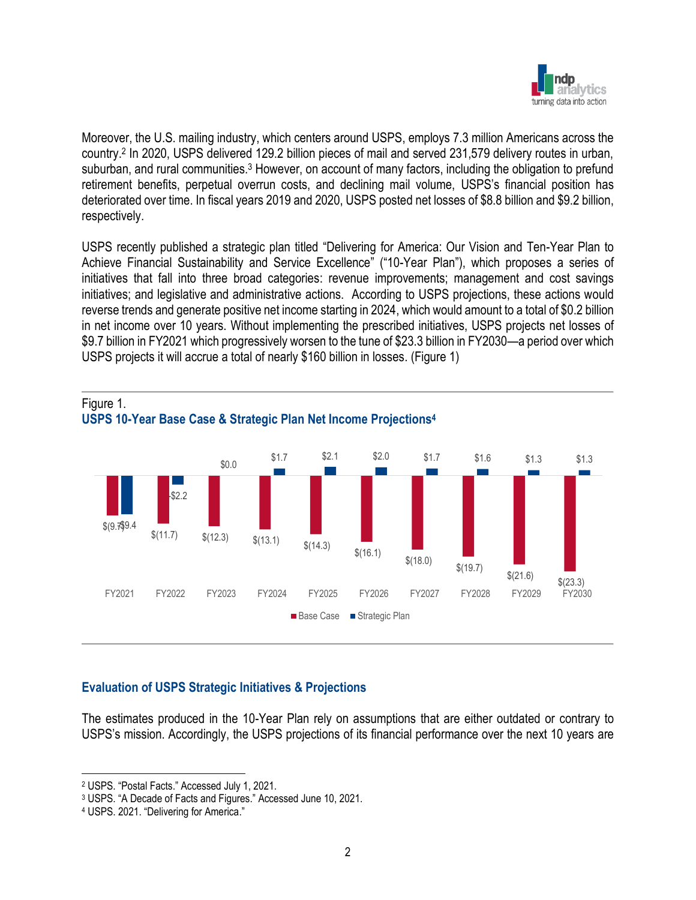

Moreover, the U.S. mailing industry, which centers around USPS, employs 7.3 million Americans across the country. 2 In 2020, USPS delivered 129.2 billion pieces of mail and served 231,579 delivery routes in urban, suburban, and rural communities.<sup>3</sup> However, on account of many factors, including the obligation to prefund retirement benefits, perpetual overrun costs, and declining mail volume, USPS's financial position has deteriorated over time. In fiscal years 2019 and 2020, USPS posted net losses of \$8.8 billion and \$9.2 billion, respectively.

USPS recently published a strategic plan titled "Delivering for America: Our Vision and Ten-Year Plan to Achieve Financial Sustainability and Service Excellence<sup>"</sup> ("10-Year Plan"), which proposes a series of initiatives that fall into three broad categories: revenue improvements; management and cost savings initiatives; and legislative and administrative actions. According to USPS projections, these actions would reverse trends and generate positive net income starting in 2024, which would amount to a total of \$0.2 billion in net income over 10 years. Without implementing the prescribed initiatives, USPS projects net losses of \$9.7 billion in FY2021 which progressively worsen to the tune of \$23.3 billion in FY2030—a period over which USPS projects it will accrue a total of nearly \$160 billion in losses. (Figure 1)



## **USPS 10-Year Base Case & Strategic Plan Net Income Projections 4**

## **Evaluation of USPS Strategic Initiatives & Projections**

The estimates produced in the 10-Year Plan rely on assumptions that are either outdated or contrary to USPS's mission. Accordingly, the USPS projections of its financial performance over the next 10 years are

<sup>2</sup> USPS. "Postal Facts." Accessed July 1, 2021.

<sup>3</sup> USPS. "A Decade of Facts and Figures." Accessed June 10, 2021.

<sup>4</sup> USPS. 2021. "Delivering for America."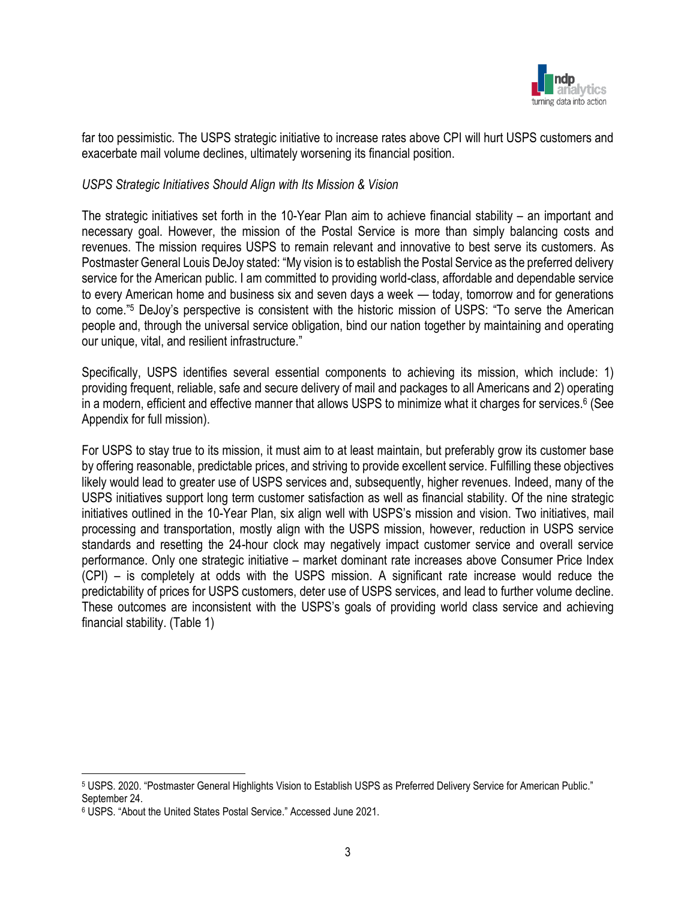

far too pessimistic. The USPS strategic initiative to increase rates above CPI will hurt USPS customers and exacerbate mail volume declines, ultimately worsening its financial position.

#### *USPS Strategic Initiatives Should Align with Its Mission & Vision*

The strategic initiatives set forth in the 10-Year Plan aim to achieve financial stability – an important and necessary goal. However, the mission of the Postal Service is more than simply balancing costs and revenues. The mission requires USPS to remain relevant and innovative to best serve its customers. As Postmaster General Louis DeJoy stated: "My vision is to establish the Postal Service as the preferred delivery service for the American public. I am committed to providing world-class, affordable and dependable service to every American home and business six and seven days a week — today, tomorrow and for generations to come." <sup>5</sup> DeJoy's perspective is consistent with the historic mission of USPS: "To serve the American people and, through the universal service obligation, bind our nation together by maintaining and operating our unique, vital, and resilient infrastructure."

Specifically, USPS identifies several essential components to achieving its mission, which include: 1) providing frequent, reliable, safe and secure delivery of mail and packages to all Americans and 2) operating in a modern, efficient and effective manner that allows USPS to minimize what it charges for services. 6 (See Appendix for full mission).

For USPS to stay true to its mission, it must aim to at least maintain, but preferably grow its customer base by offering reasonable, predictable prices, and striving to provide excellent service. Fulfilling these objectives likely would lead to greater use of USPS services and, subsequently, higher revenues. Indeed, many of the USPS initiatives support long term customer satisfaction as well as financial stability. Of the nine strategic initiatives outlined in the 10-Year Plan, six align well with USPS's mission and vision. Two initiatives, mail processing and transportation, mostly align with the USPS mission, however, reduction in USPS service standards and resetting the 24-hour clock may negatively impact customer service and overall service performance. Only one strategic initiative – market dominant rate increases above Consumer Price Index (CPI) – is completely at odds with the USPS mission. A significant rate increase would reduce the predictability of prices for USPS customers, deter use of USPS services, and lead to further volume decline. These outcomes are inconsistent with the USPS's goals of providing world class service and achieving financial stability. (Table 1)

<sup>5</sup> USPS. 2020. "Postmaster General Highlights Vision to Establish USPS as Preferred Delivery Service for American Public." September 24.

<sup>6</sup> USPS. "About the United States Postal Service." Accessed June 2021.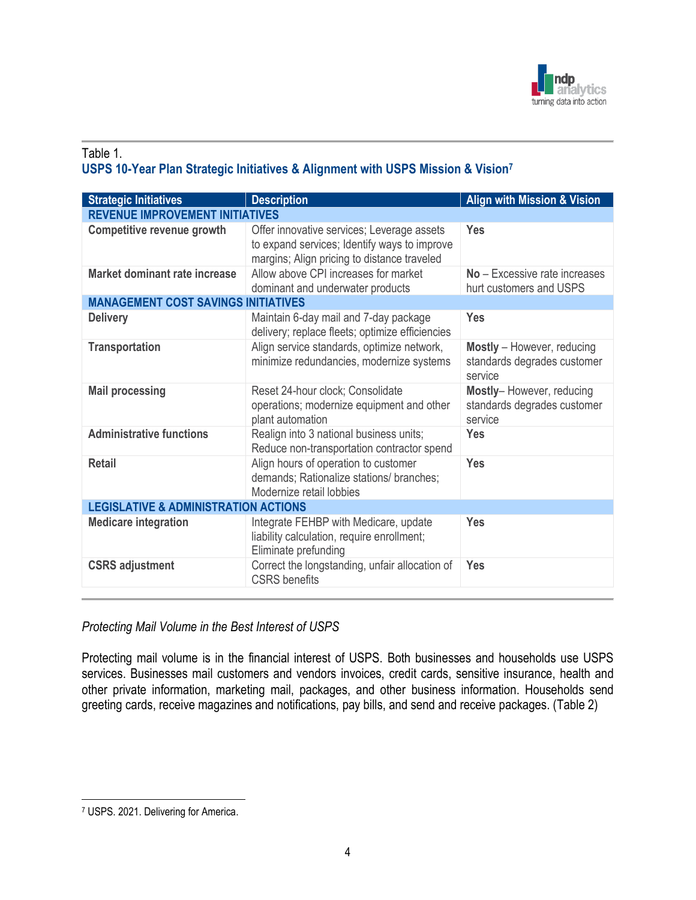

### Table 1. **USPS 10-Year Plan Strategic Initiatives & Alignment with USPS Mission & Vision<sup>7</sup>**

| <b>Strategic Initiatives</b>                    | <b>Description</b>                                                                                                                        | <b>Align with Mission &amp; Vision</b>                               |
|-------------------------------------------------|-------------------------------------------------------------------------------------------------------------------------------------------|----------------------------------------------------------------------|
| <b>REVENUE IMPROVEMENT INITIATIVES</b>          |                                                                                                                                           |                                                                      |
| Competitive revenue growth                      | Offer innovative services; Leverage assets<br>to expand services; Identify ways to improve<br>margins; Align pricing to distance traveled | Yes                                                                  |
| Market dominant rate increase                   | Allow above CPI increases for market<br>dominant and underwater products                                                                  | No - Excessive rate increases<br>hurt customers and USPS             |
| <b>MANAGEMENT COST SAVINGS INITIATIVES</b>      |                                                                                                                                           |                                                                      |
| <b>Delivery</b>                                 | Maintain 6-day mail and 7-day package<br>delivery; replace fleets; optimize efficiencies                                                  | Yes                                                                  |
| <b>Transportation</b>                           | Align service standards, optimize network,<br>minimize redundancies, modernize systems                                                    | Mostly - However, reducing<br>standards degrades customer<br>service |
| <b>Mail processing</b>                          | Reset 24-hour clock; Consolidate<br>operations; modernize equipment and other<br>plant automation                                         | Mostly-However, reducing<br>standards degrades customer<br>service   |
| <b>Administrative functions</b>                 | Realign into 3 national business units;<br>Reduce non-transportation contractor spend                                                     | <b>Yes</b>                                                           |
| <b>Retail</b>                                   | Align hours of operation to customer<br>demands; Rationalize stations/ branches;<br>Modernize retail lobbies                              | Yes                                                                  |
| <b>LEGISLATIVE &amp; ADMINISTRATION ACTIONS</b> |                                                                                                                                           |                                                                      |
| <b>Medicare integration</b>                     | Integrate FEHBP with Medicare, update<br>liability calculation, require enrollment;<br>Eliminate prefunding                               | Yes                                                                  |
| <b>CSRS</b> adjustment                          | Correct the longstanding, unfair allocation of<br><b>CSRS</b> benefits                                                                    | Yes                                                                  |

## *Protecting Mail Volume in the Best Interest of USPS*

Protecting mail volume is in the financial interest of USPS. Both businesses and households use USPS services. Businesses mail customers and vendors invoices, credit cards, sensitive insurance, health and other private information, marketing mail, packages, and other business information. Households send greeting cards, receive magazines and notifications, pay bills, and send and receive packages. (Table 2)

<sup>7</sup> USPS. 2021. Delivering for America.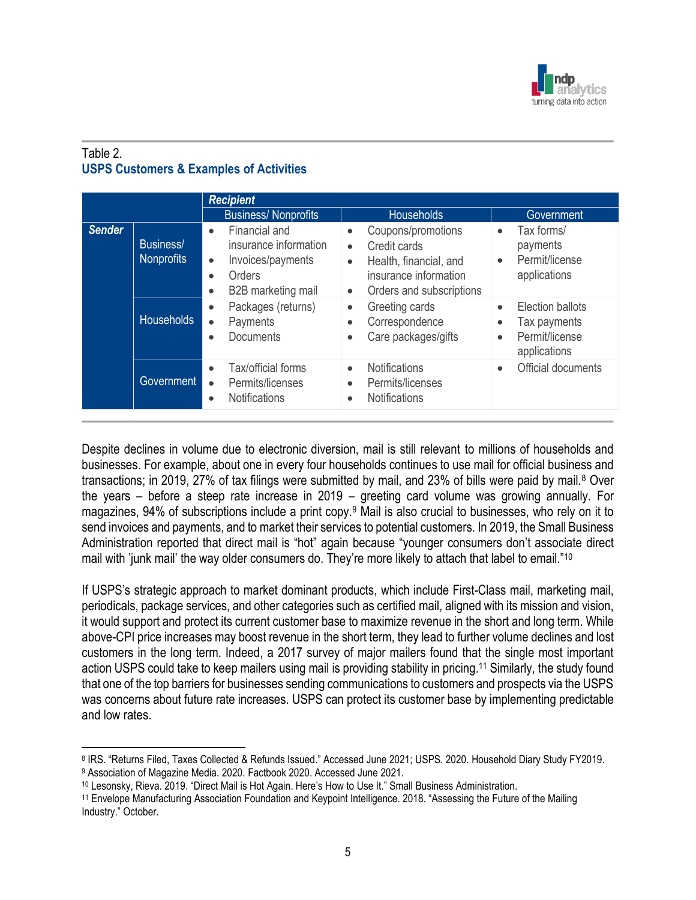

## Table 2. **USPS Customers & Examples of Activities**

|               |                                | <b>Recipient</b>                                                                                                                                |                                                                                                                                                                       |                                                                                                           |
|---------------|--------------------------------|-------------------------------------------------------------------------------------------------------------------------------------------------|-----------------------------------------------------------------------------------------------------------------------------------------------------------------------|-----------------------------------------------------------------------------------------------------------|
|               |                                | <b>Business/Nonprofits</b>                                                                                                                      | <b>Households</b>                                                                                                                                                     | Government                                                                                                |
| <b>Sender</b> | Business/<br><b>Nonprofits</b> | Financial and<br>$\bullet$<br>insurance information<br>Invoices/payments<br>$\bullet$<br>Orders<br>$\bullet$<br>B2B marketing mail<br>$\bullet$ | Coupons/promotions<br>$\bullet$<br>Credit cards<br>$\bullet$<br>Health, financial, and<br>$\bullet$<br>insurance information<br>Orders and subscriptions<br>$\bullet$ | Tax forms/<br>$\bullet$<br>payments<br>Permit/license<br>$\bullet$<br>applications                        |
|               | <b>Households</b>              | Packages (returns)<br>$\bullet$<br>Payments<br>$\bullet$<br>Documents<br>$\bullet$                                                              | Greeting cards<br>$\bullet$<br>Correspondence<br>٠<br>Care packages/gifts<br>$\bullet$                                                                                | Election ballots<br>$\bullet$<br>Tax payments<br>$\bullet$<br>Permit/license<br>$\bullet$<br>applications |
|               | Government                     | Tax/official forms<br>$\bullet$<br>Permits/licenses<br>$\bullet$<br><b>Notifications</b><br>$\bullet$                                           | <b>Notifications</b><br>$\bullet$<br>Permits/licenses<br>٠<br><b>Notifications</b><br>٠                                                                               | Official documents<br>$\bullet$                                                                           |

Despite declines in volume due to electronic diversion, mail is still relevant to millions of households and businesses. For example, about one in every four households continues to use mail for official business and transactions; in 2019, 27% of tax filings were submitted by mail, and 23% of bills were paid by mail.<sup>8</sup> Over the years – before a steep rate increase in 2019 – greeting card volume was growing annually. For magazines, 94% of subscriptions include a print copy.<sup>9</sup> Mail is also crucial to businesses, who rely on it to send invoices and payments, and to market their services to potential customers. In 2019, the Small Business Administration reported that direct mail is "hot" again because "younger consumers don't associate direct mail with 'junk mail' the way older consumers do. They're more likely to attach that label to email."<sup>10</sup>

If USPS's strategic approach to market dominant products, which include First-Class mail, marketing mail, periodicals, package services, and other categories such as certified mail, aligned with its mission and vision, it would support and protect its current customer base to maximize revenue in the short and long term. While above-CPI price increases may boost revenue in the short term, they lead to further volume declines and lost customers in the long term. Indeed, a 2017 survey of major mailers found that the single most important action USPS could take to keep mailers using mail is providing stability in pricing.<sup>11</sup> Similarly, the study found that one of the top barriers for businesses sending communications to customers and prospects via the USPS was concerns about future rate increases. USPS can protect its customer base by implementing predictable and low rates.

<sup>8</sup> IRS. "Returns Filed, Taxes Collected & Refunds Issued." Accessed June 2021; USPS. 2020. Household Diary Study FY2019. <sup>9</sup> Association of Magazine Media. 2020. Factbook 2020. Accessed June 2021.

<sup>10</sup> Lesonsky, Rieva. 2019. "Direct Mail is Hot Again. Here's How to Use It." Small Business Administration.

<sup>11</sup> Envelope Manufacturing Association Foundation and Keypoint Intelligence. 2018. "Assessing the Future of the Mailing Industry." October.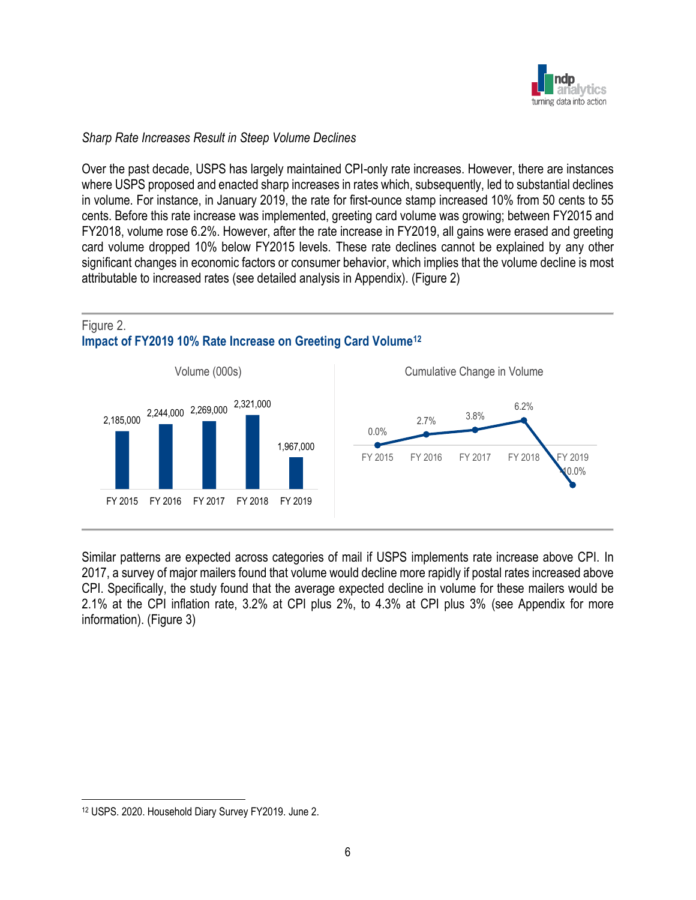

#### *Sharp Rate Increases Result in Steep Volume Declines*

Over the past decade, USPS has largely maintained CPI-only rate increases. However, there are instances where USPS proposed and enacted sharp increases in rates which, subsequently, led to substantial declines in volume. For instance, in January 2019, the rate for first-ounce stamp increased 10% from 50 cents to 55 cents. Before this rate increase was implemented, greeting card volume was growing; between FY2015 and FY2018, volume rose 6.2%. However, after the rate increase in FY2019, all gains were erased and greeting card volume dropped 10% below FY2015 levels. These rate declines cannot be explained by any other significant changes in economic factors or consumer behavior, which implies that the volume decline is most attributable to increased rates (see detailed analysis in Appendix). (Figure 2)

#### Figure 2. **Impact of FY2019 10% Rate Increase on Greeting Card Volume<sup>12</sup>**



Similar patterns are expected across categories of mail if USPS implements rate increase above CPI. In 2017, a survey of major mailers found that volume would decline more rapidly if postal rates increased above CPI. Specifically, the study found that the average expected decline in volume for these mailers would be 2.1% at the CPI inflation rate, 3.2% at CPI plus 2%, to 4.3% at CPI plus 3% (see Appendix for more information). (Figure 3)

<sup>12</sup> USPS. 2020. Household Diary Survey FY2019. June 2.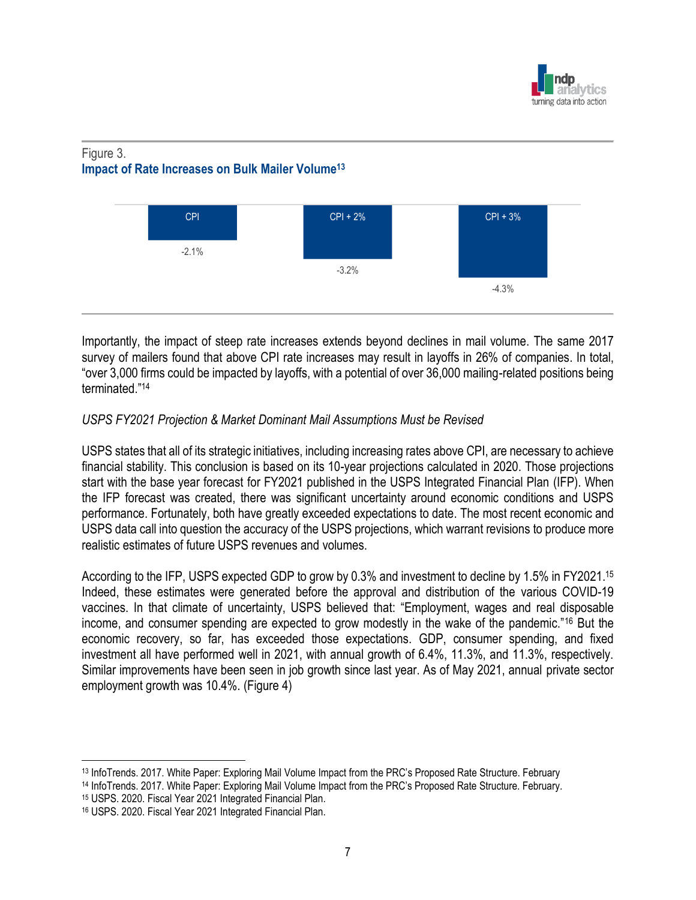

## Figure 3. **Impact of Rate Increases on Bulk Mailer Volume<sup>13</sup>**



Importantly, the impact of steep rate increases extends beyond declines in mail volume. The same 2017 survey of mailers found that above CPI rate increases may result in layoffs in 26% of companies. In total, "over 3,000 firms could be impacted by layoffs, with a potential of over 36,000 mailing-related positions being terminated." 14

## *USPS FY2021 Projection & Market Dominant Mail Assumptions Must be Revised*

USPS states that all of its strategic initiatives, including increasing rates above CPI, are necessary to achieve financial stability. This conclusion is based on its 10-year projections calculated in 2020. Those projections start with the base year forecast for FY2021 published in the USPS Integrated Financial Plan (IFP). When the IFP forecast was created, there was significant uncertainty around economic conditions and USPS performance. Fortunately, both have greatly exceeded expectations to date. The most recent economic and USPS data call into question the accuracy of the USPS projections, which warrant revisions to produce more realistic estimates of future USPS revenues and volumes.

According to the IFP, USPS expected GDP to grow by 0.3% and investment to decline by 1.5% in FY2021. 15 Indeed, these estimates were generated before the approval and distribution of the various COVID-19 vaccines. In that climate of uncertainty, USPS believed that: "Employment, wages and real disposable income, and consumer spending are expected to grow modestly in the wake of the pandemic."<sup>16</sup> But the economic recovery, so far, has exceeded those expectations. GDP, consumer spending, and fixed investment all have performed well in 2021, with annual growth of 6.4%, 11.3%, and 11.3%, respectively. Similar improvements have been seen in job growth since last year. As of May 2021, annual private sector employment growth was 10.4%. (Figure 4)

<sup>15</sup> USPS. 2020. Fiscal Year 2021 Integrated Financial Plan.

<sup>13</sup> InfoTrends. 2017. White Paper: Exploring Mail Volume Impact from the PRC's Proposed Rate Structure. February <sup>14</sup> InfoTrends. 2017. White Paper: Exploring Mail Volume Impact from the PRC's Proposed Rate Structure. February.

<sup>16</sup> USPS. 2020. Fiscal Year 2021 Integrated Financial Plan.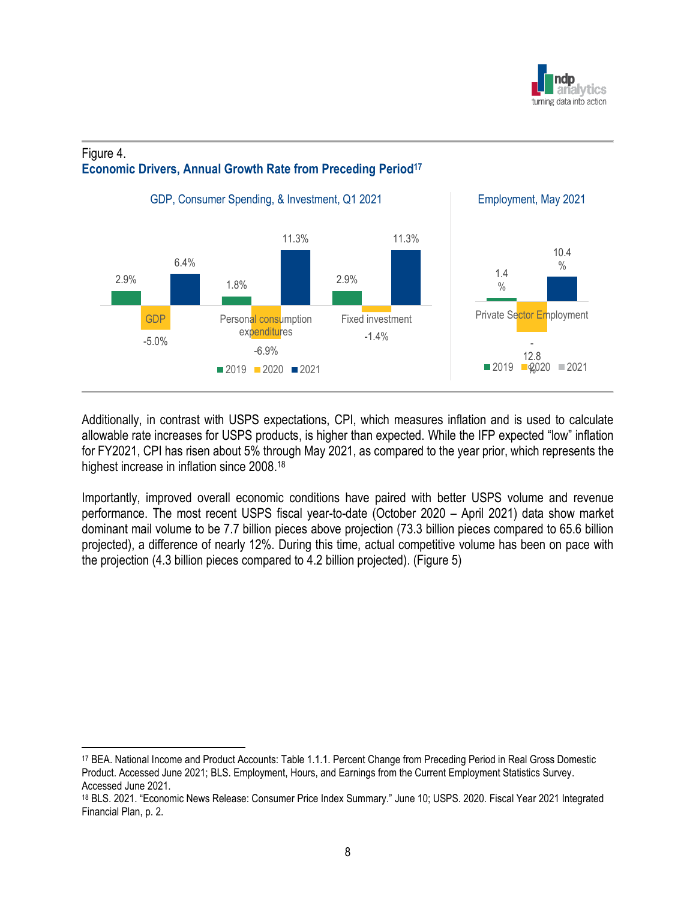

## Figure 4. **Economic Drivers, Annual Growth Rate from Preceding Period<sup>17</sup>**



Additionally, in contrast with USPS expectations, CPI, which measures inflation and is used to calculate allowable rate increases for USPS products, is higher than expected. While the IFP expected "low" inflation for FY2021, CPI has risen about 5% through May 2021, as compared to the year prior, which represents the highest increase in inflation since 2008.<sup>18</sup>

Importantly, improved overall economic conditions have paired with better USPS volume and revenue performance. The most recent USPS fiscal year-to-date (October 2020 – April 2021) data show market dominant mail volume to be 7.7 billion pieces above projection (73.3 billion pieces compared to 65.6 billion projected), a difference of nearly 12%. During this time, actual competitive volume has been on pace with the projection (4.3 billion pieces compared to 4.2 billion projected). (Figure 5)

<sup>17</sup> BEA. National Income and Product Accounts: Table 1.1.1. Percent Change from Preceding Period in Real Gross Domestic Product. Accessed June 2021; BLS. Employment, Hours, and Earnings from the Current Employment Statistics Survey. Accessed June 2021.

<sup>18</sup> BLS. 2021. "Economic News Release: Consumer Price Index Summary." June 10; USPS. 2020. Fiscal Year 2021 Integrated Financial Plan, p. 2.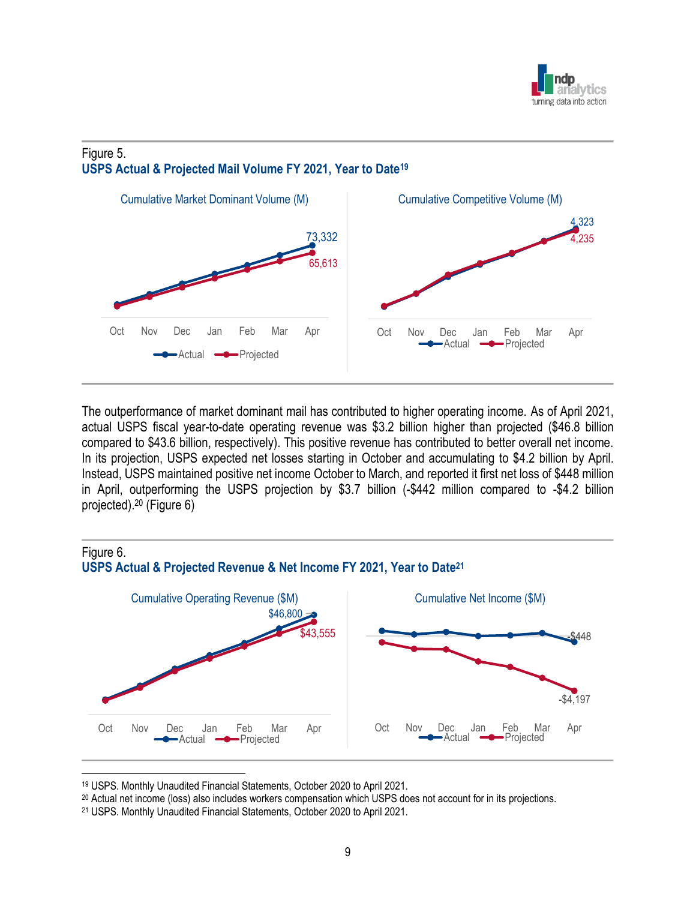

## Figure 5. **USPS Actual & Projected Mail Volume FY 2021, Year to Date<sup>19</sup>**



The outperformance of market dominant mail has contributed to higher operating income. As of April 2021, actual USPS fiscal year-to-date operating revenue was \$3.2 billion higher than projected (\$46.8 billion compared to \$43.6 billion, respectively). This positive revenue has contributed to better overall net income. In its projection, USPS expected net losses starting in October and accumulating to \$4.2 billion by April. Instead, USPS maintained positive net income October to March, and reported it first net loss of \$448 million in April, outperforming the USPS projection by \$3.7 billion (-\$442 million compared to -\$4.2 billion projected). <sup>20</sup> (Figure 6)



<sup>19</sup> USPS. Monthly Unaudited Financial Statements, October 2020 to April 2021.

<sup>20</sup> Actual net income (loss) also includes workers compensation which USPS does not account for in its projections.

<sup>21</sup> USPS. Monthly Unaudited Financial Statements, October 2020 to April 2021.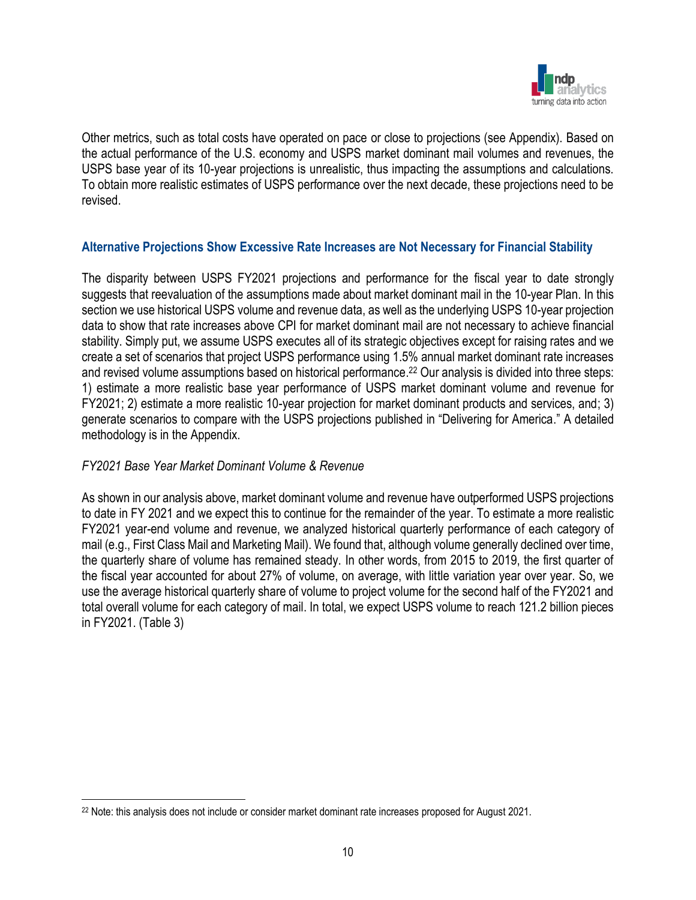

Other metrics, such as total costs have operated on pace or close to projections (see Appendix). Based on the actual performance of the U.S. economy and USPS market dominant mail volumes and revenues, the USPS base year of its 10-year projections is unrealistic, thus impacting the assumptions and calculations. To obtain more realistic estimates of USPS performance over the next decade, these projections need to be revised.

### **Alternative Projections Show Excessive Rate Increases are Not Necessary for Financial Stability**

The disparity between USPS FY2021 projections and performance for the fiscal year to date strongly suggests that reevaluation of the assumptions made about market dominant mail in the 10-year Plan. In this section we use historical USPS volume and revenue data, as well as the underlying USPS 10-year projection data to show that rate increases above CPI for market dominant mail are not necessary to achieve financial stability. Simply put, we assume USPS executes all of its strategic objectives except for raising rates and we create a set of scenarios that project USPS performance using 1.5% annual market dominant rate increases and revised volume assumptions based on historical performance. <sup>22</sup> Our analysis is divided into three steps: 1) estimate a more realistic base year performance of USPS market dominant volume and revenue for FY2021; 2) estimate a more realistic 10-year projection for market dominant products and services, and; 3) generate scenarios to compare with the USPS projections published in "Delivering for America." A detailed methodology is in the Appendix.

#### *FY2021 Base Year Market Dominant Volume & Revenue*

As shown in our analysis above, market dominant volume and revenue have outperformed USPS projections to date in FY 2021 and we expect this to continue for the remainder of the year. To estimate a more realistic FY2021 year-end volume and revenue, we analyzed historical quarterly performance of each category of mail (e.g., First Class Mail and Marketing Mail). We found that, although volume generally declined over time, the quarterly share of volume has remained steady. In other words, from 2015 to 2019, the first quarter of the fiscal year accounted for about 27% of volume, on average, with little variation year over year. So, we use the average historical quarterly share of volume to project volume for the second half of the FY2021 and total overall volume for each category of mail. In total, we expect USPS volume to reach 121.2 billion pieces in FY2021. (Table 3)

<sup>22</sup> Note: this analysis does not include or consider market dominant rate increases proposed for August 2021.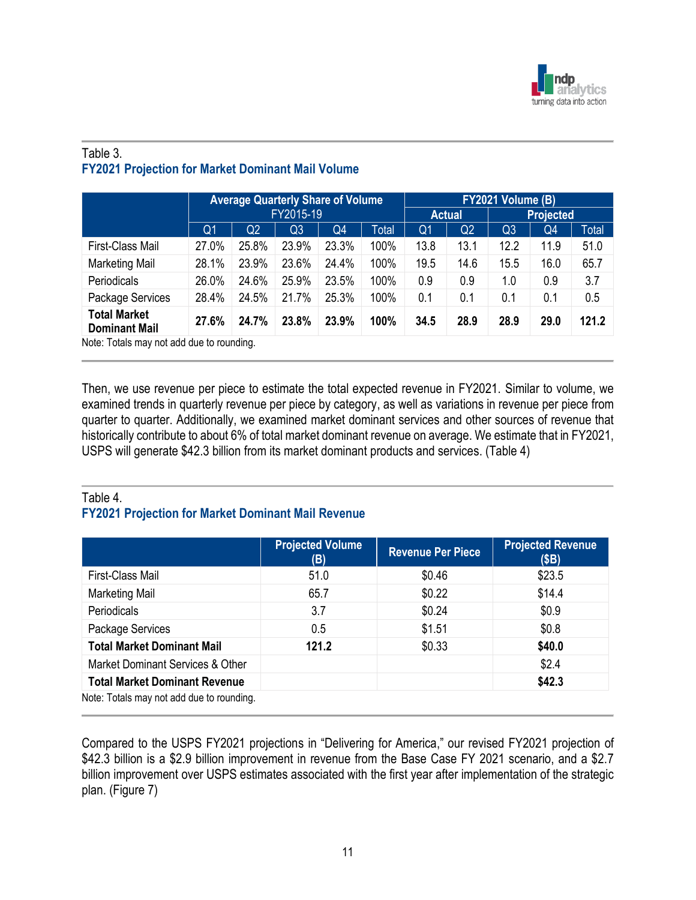

## Table 3. **FY2021 Projection for Market Dominant Mail Volume**

|                                             |       | <b>Average Quarterly Share of Volume</b><br>FY2015-19 |                |       |       |                | FY2021 Volume (B) |                |      |                  |
|---------------------------------------------|-------|-------------------------------------------------------|----------------|-------|-------|----------------|-------------------|----------------|------|------------------|
|                                             |       |                                                       |                |       |       |                | <b>Actual</b>     |                |      | <b>Projected</b> |
|                                             | Q1    | Q2                                                    | Q <sub>3</sub> | Q4    | Total | Q <sub>1</sub> | Q <sub>2</sub>    | Q <sub>3</sub> | Q4   | Total            |
| First-Class Mail                            | 27.0% | 25.8%                                                 | 23.9%          | 23.3% | 100%  | 13.8           | 13.1              | 12.2           | 11.9 | 51.0             |
| <b>Marketing Mail</b>                       | 28.1% | 23.9%                                                 | 23.6%          | 24.4% | 100%  | 19.5           | 14.6              | 15.5           | 16.0 | 65.7             |
| <b>Periodicals</b>                          | 26.0% | 24.6%                                                 | 25.9%          | 23.5% | 100%  | 0.9            | 0.9               | 1.0            | 0.9  | 3.7              |
| Package Services                            | 28.4% | 24.5%                                                 | 21.7%          | 25.3% | 100%  | 0.1            | 0.1               | 0.1            | 0.1  | 0.5              |
| <b>Total Market</b><br><b>Dominant Mail</b> | 27.6% | 24.7%                                                 | 23.8%          | 23.9% | 100%  | 34.5           | 28.9              | 28.9           | 29.0 | 121.2            |
| Note: Totals may not add due to rounding.   |       |                                                       |                |       |       |                |                   |                |      |                  |

Then, we use revenue per piece to estimate the total expected revenue in FY2021. Similar to volume, we examined trends in quarterly revenue per piece by category, as well as variations in revenue per piece from quarter to quarter. Additionally, we examined market dominant services and other sources of revenue that historically contribute to about 6% of total market dominant revenue on average. We estimate that in FY2021, USPS will generate \$42.3 billion from its market dominant products and services. (Table 4)

## Table 4. **FY2021 Projection for Market Dominant Mail Revenue**

|                                           | <b>Projected Volume</b><br>(B) | <b>Revenue Per Piece</b> | <b>Projected Revenue</b><br>(SB) |
|-------------------------------------------|--------------------------------|--------------------------|----------------------------------|
| First-Class Mail                          | 51.0                           | \$0.46                   | \$23.5                           |
| <b>Marketing Mail</b>                     | 65.7                           | \$0.22                   | \$14.4                           |
| <b>Periodicals</b>                        | 3.7                            | \$0.24                   | \$0.9                            |
| Package Services                          | 0.5                            | \$1.51                   | \$0.8                            |
| <b>Total Market Dominant Mail</b>         | 121.2                          | \$0.33                   | \$40.0                           |
| Market Dominant Services & Other          |                                |                          | \$2.4                            |
| <b>Total Market Dominant Revenue</b>      |                                |                          | \$42.3                           |
| Note: Totals may not add due to rounding. |                                |                          |                                  |

Compared to the USPS FY2021 projections in "Delivering for America," our revised FY2021 projection of \$42.3 billion is a \$2.9 billion improvement in revenue from the Base Case FY 2021 scenario, and a \$2.7 billion improvement over USPS estimates associated with the first year after implementation of the strategic plan. (Figure 7)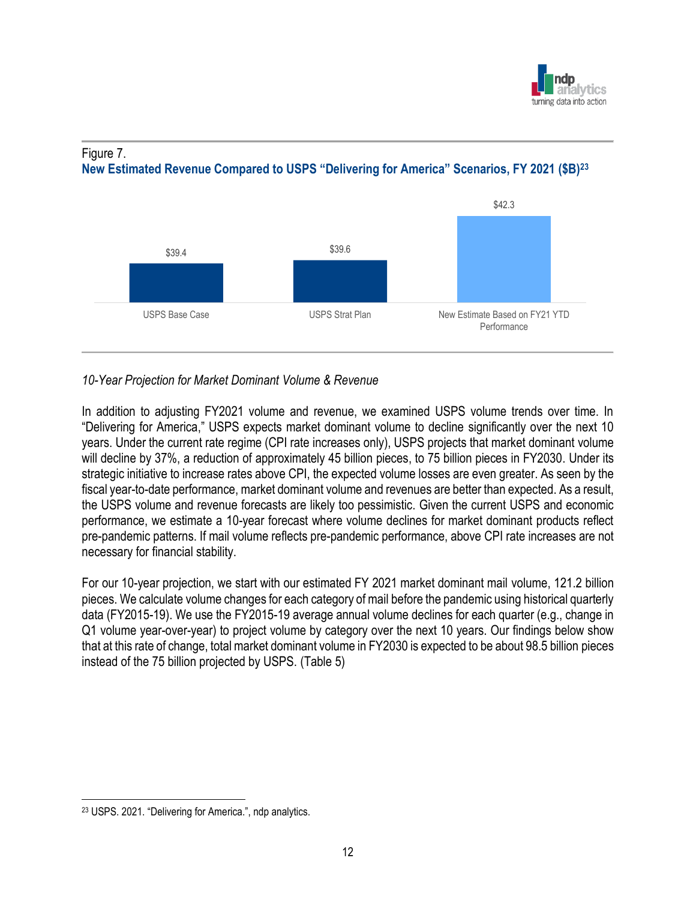



### Figure 7. **New Estimated Revenue Compared to USPS "Delivering for America" Scenarios, FY 2021 (\$B)<sup>23</sup>**

## *10-Year Projection for Market Dominant Volume & Revenue*

In addition to adjusting FY2021 volume and revenue, we examined USPS volume trends over time. In "Delivering for America," USPS expects market dominant volume to decline significantly over the next 10 years. Under the current rate regime (CPI rate increases only), USPS projects that market dominant volume will decline by 37%, a reduction of approximately 45 billion pieces, to 75 billion pieces in FY2030. Under its strategic initiative to increase rates above CPI, the expected volume losses are even greater. As seen by the fiscal year-to-date performance, market dominant volume and revenues are better than expected. As a result, the USPS volume and revenue forecasts are likely too pessimistic. Given the current USPS and economic performance, we estimate a 10-year forecast where volume declines for market dominant products reflect pre-pandemic patterns. If mail volume reflects pre-pandemic performance, above CPI rate increases are not necessary for financial stability.

For our 10-year projection, we start with our estimated FY 2021 market dominant mail volume, 121.2 billion pieces. We calculate volume changes for each category of mail before the pandemic using historical quarterly data (FY2015-19). We use the FY2015-19 average annual volume declines for each quarter (e.g., change in Q1 volume year-over-year) to project volume by category over the next 10 years. Our findings below show that at this rate of change, total market dominant volume in FY2030 is expected to be about 98.5 billion pieces instead of the 75 billion projected by USPS. (Table 5)

<sup>23</sup> USPS. 2021. "Delivering for America.", ndp analytics.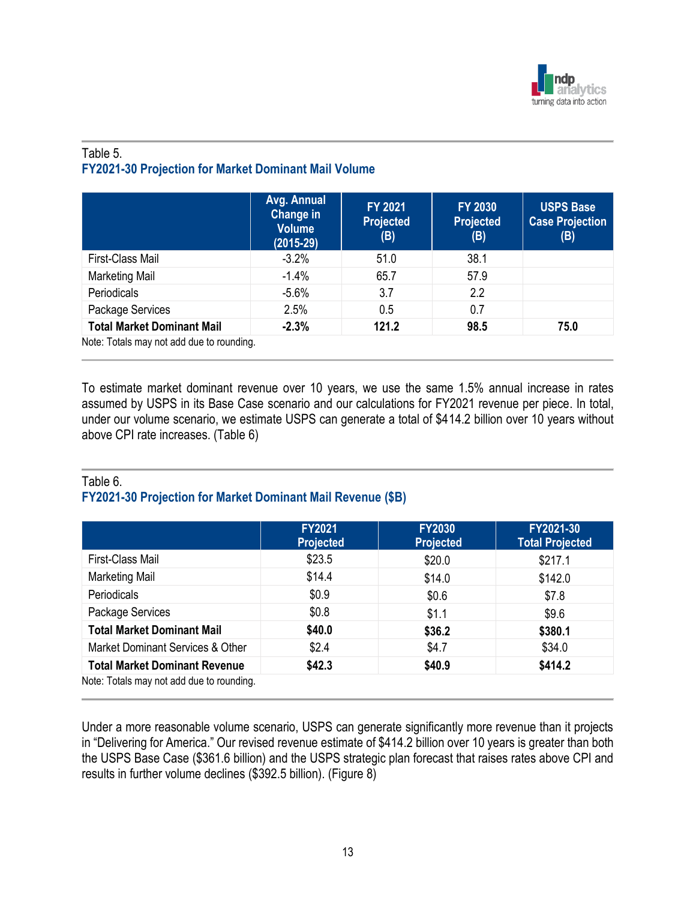

## Table 5. **FY2021-30 Projection for Market Dominant Mail Volume**

|                                           | Avg. Annual<br>Change in<br><b>Volume</b><br>$(2015-29)$ | <b>FY 2021</b><br><b>Projected</b><br>(B) | <b>FY 2030</b><br><b>Projected</b><br>(B) | <b>USPS Base</b><br><b>Case Projection</b><br>(B) |
|-------------------------------------------|----------------------------------------------------------|-------------------------------------------|-------------------------------------------|---------------------------------------------------|
| First-Class Mail                          | $-3.2%$                                                  | 51.0                                      | 38.1                                      |                                                   |
| <b>Marketing Mail</b>                     | $-1.4%$                                                  | 65.7                                      | 57.9                                      |                                                   |
| Periodicals                               | $-5.6%$                                                  | 3.7                                       | 2.2                                       |                                                   |
| Package Services                          | 2.5%                                                     | 0.5                                       | 0.7                                       |                                                   |
| <b>Total Market Dominant Mail</b>         | $-2.3%$                                                  | 121.2                                     | 98.5                                      | 75.0                                              |
| Note: Totals may not add due to rounding. |                                                          |                                           |                                           |                                                   |

To estimate market dominant revenue over 10 years, we use the same 1.5% annual increase in rates assumed by USPS in its Base Case scenario and our calculations for FY2021 revenue per piece. In total, under our volume scenario, we estimate USPS can generate a total of \$414.2 billion over 10 years without above CPI rate increases. (Table 6)

### Table 6. **FY2021-30 Projection for Market Dominant Mail Revenue (\$B)**

|                                           | <b>FY2021</b><br><b>Projected</b> | <b>FY2030</b><br><b>Projected</b> | FY2021-30<br><b>Total Projected</b> |
|-------------------------------------------|-----------------------------------|-----------------------------------|-------------------------------------|
| First-Class Mail                          | \$23.5                            | \$20.0                            | \$217.1                             |
| <b>Marketing Mail</b>                     | \$14.4                            | \$14.0                            | \$142.0                             |
| <b>Periodicals</b>                        | \$0.9                             | \$0.6                             | \$7.8                               |
| Package Services                          | \$0.8                             | \$1.1                             | \$9.6                               |
| <b>Total Market Dominant Mail</b>         | \$40.0                            | \$36.2                            | \$380.1                             |
| Market Dominant Services & Other          | \$2.4                             | \$4.7                             | \$34.0                              |
| <b>Total Market Dominant Revenue</b>      | \$42.3                            | \$40.9                            | \$414.2                             |
| Note: Totals may not add due to rounding. |                                   |                                   |                                     |

Under a more reasonable volume scenario, USPS can generate significantly more revenue than it projects in "Delivering for America." Our revised revenue estimate of \$414.2 billion over 10 years is greater than both the USPS Base Case (\$361.6 billion) and the USPS strategic plan forecast that raises rates above CPI and results in further volume declines (\$392.5 billion). (Figure 8)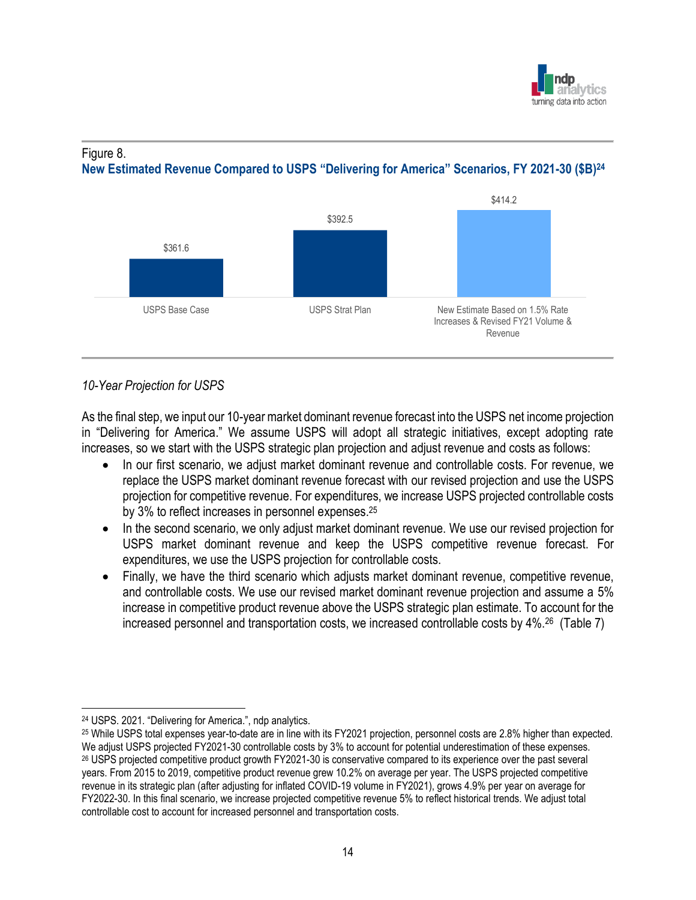



## **New Estimated Revenue Compared to USPS "Delivering for America" Scenarios, FY 2021-30 (\$B)<sup>24</sup>**



## *10-Year Projection for USPS*

As the final step, we input our 10-year market dominant revenue forecast into the USPS net income projection in "Delivering for America." We assume USPS will adopt all strategic initiatives, except adopting rate increases, so we start with the USPS strategic plan projection and adjust revenue and costs as follows:

- In our first scenario, we adjust market dominant revenue and controllable costs. For revenue, we replace the USPS market dominant revenue forecast with our revised projection and use the USPS projection for competitive revenue. For expenditures, we increase USPS projected controllable costs by 3% to reflect increases in personnel expenses.<sup>25</sup>
- In the second scenario, we only adjust market dominant revenue. We use our revised projection for USPS market dominant revenue and keep the USPS competitive revenue forecast. For expenditures, we use the USPS projection for controllable costs.
- Finally, we have the third scenario which adjusts market dominant revenue, competitive revenue, and controllable costs. We use our revised market dominant revenue projection and assume a 5% increase in competitive product revenue above the USPS strategic plan estimate. To account for the increased personnel and transportation costs, we increased controllable costs by 4%.<sup>26</sup> (Table 7)

<sup>24</sup> USPS. 2021. "Delivering for America.", ndp analytics.

<sup>25</sup> While USPS total expenses year-to-date are in line with its FY2021 projection, personnel costs are 2.8% higher than expected. We adjust USPS projected FY2021-30 controllable costs by 3% to account for potential underestimation of these expenses. <sup>26</sup> USPS projected competitive product growth FY2021-30 is conservative compared to its experience over the past several years. From 2015 to 2019, competitive product revenue grew 10.2% on average per year. The USPS projected competitive revenue in its strategic plan (after adjusting for inflated COVID-19 volume in FY2021), grows 4.9% per year on average for FY2022-30. In this final scenario, we increase projected competitive revenue 5% to reflect historical trends. We adjust total controllable cost to account for increased personnel and transportation costs.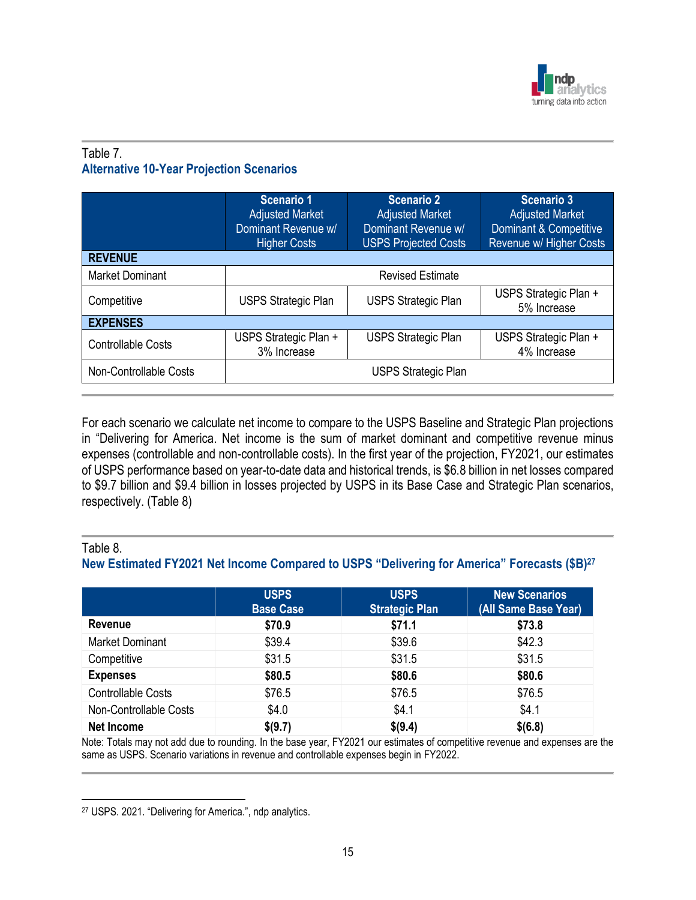

## Table 7. **Alternative 10-Year Projection Scenarios**

|                           | Scenario 1<br><b>Adjusted Market</b><br>Dominant Revenue w/<br><b>Higher Costs</b> | <b>Scenario 2</b><br><b>Adjusted Market</b><br>Dominant Revenue w/<br><b>USPS Projected Costs</b> | <b>Scenario 3</b><br><b>Adjusted Market</b><br>Dominant & Competitive<br>Revenue w/ Higher Costs |  |  |  |  |
|---------------------------|------------------------------------------------------------------------------------|---------------------------------------------------------------------------------------------------|--------------------------------------------------------------------------------------------------|--|--|--|--|
| <b>REVENUE</b>            |                                                                                    |                                                                                                   |                                                                                                  |  |  |  |  |
| <b>Market Dominant</b>    | <b>Revised Estimate</b>                                                            |                                                                                                   |                                                                                                  |  |  |  |  |
| Competitive               | <b>USPS Strategic Plan</b>                                                         | <b>USPS Strategic Plan</b>                                                                        | USPS Strategic Plan +<br>5% Increase                                                             |  |  |  |  |
| <b>EXPENSES</b>           |                                                                                    |                                                                                                   |                                                                                                  |  |  |  |  |
| <b>Controllable Costs</b> | USPS Strategic Plan +<br>3% Increase                                               | <b>USPS Strategic Plan</b>                                                                        | USPS Strategic Plan +<br>4% Increase                                                             |  |  |  |  |
| Non-Controllable Costs    | <b>USPS Strategic Plan</b>                                                         |                                                                                                   |                                                                                                  |  |  |  |  |

For each scenario we calculate net income to compare to the USPS Baseline and Strategic Plan projections in "Delivering for America. Net income is the sum of market dominant and competitive revenue minus expenses (controllable and non-controllable costs). In the first year of the projection, FY2021, our estimates of USPS performance based on year-to-date data and historical trends, is \$6.8 billion in net losses compared to \$9.7 billion and \$9.4 billion in losses projected by USPS in its Base Case and Strategic Plan scenarios, respectively. (Table 8)

## Table 8. **New Estimated FY2021 Net Income Compared to USPS "Delivering for America" Forecasts (\$B)<sup>27</sup>**

|                           | <b>USPS</b><br><b>Base Case</b> | <b>USPS</b><br><b>Strategic Plan</b> | <b>New Scenarios</b><br>(All Same Base Year) |
|---------------------------|---------------------------------|--------------------------------------|----------------------------------------------|
| <b>Revenue</b>            | \$70.9                          | \$71.1                               | \$73.8                                       |
| <b>Market Dominant</b>    | \$39.4                          | \$39.6                               | \$42.3                                       |
| Competitive               | \$31.5                          | \$31.5                               | \$31.5                                       |
| <b>Expenses</b>           | \$80.5                          | \$80.6                               | \$80.6                                       |
| <b>Controllable Costs</b> | \$76.5                          | \$76.5                               | \$76.5                                       |
| Non-Controllable Costs    | \$4.0                           | \$4.1                                | \$4.1                                        |
| <b>Net Income</b>         | \$(9.7)                         | \$(9.4)                              | \$(6.8)                                      |

Note: Totals may not add due to rounding. In the base year, FY2021 our estimates of competitive revenue and expenses are the same as USPS. Scenario variations in revenue and controllable expenses begin in FY2022.

<sup>27</sup> USPS. 2021. "Delivering for America.", ndp analytics.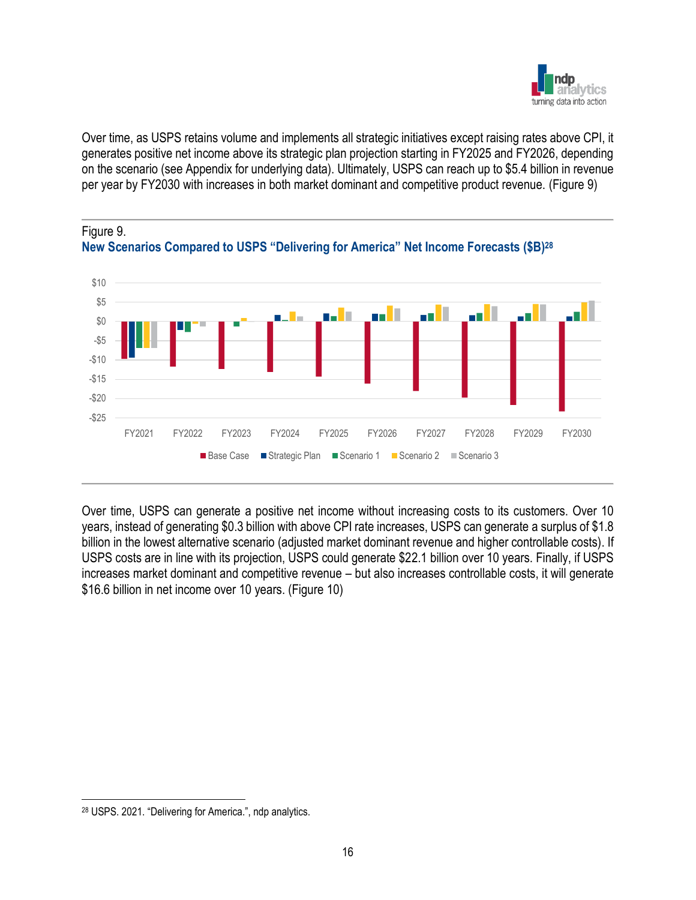

Over time, as USPS retains volume and implements all strategic initiatives except raising rates above CPI, it generates positive net income above its strategic plan projection starting in FY2025 and FY2026, depending on the scenario (see Appendix for underlying data). Ultimately, USPS can reach up to \$5.4 billion in revenue per year by FY2030 with increases in both market dominant and competitive product revenue. (Figure 9)





Over time, USPS can generate a positive net income without increasing costs to its customers. Over 10 years, instead of generating \$0.3 billion with above CPI rate increases, USPS can generate a surplus of \$1.8 billion in the lowest alternative scenario (adjusted market dominant revenue and higher controllable costs). If USPS costs are in line with its projection, USPS could generate \$22.1 billion over 10 years. Finally, if USPS increases market dominant and competitive revenue – but also increases controllable costs, it will generate \$16.6 billion in net income over 10 years. (Figure 10)

<sup>28</sup> USPS. 2021. "Delivering for America.", ndp analytics.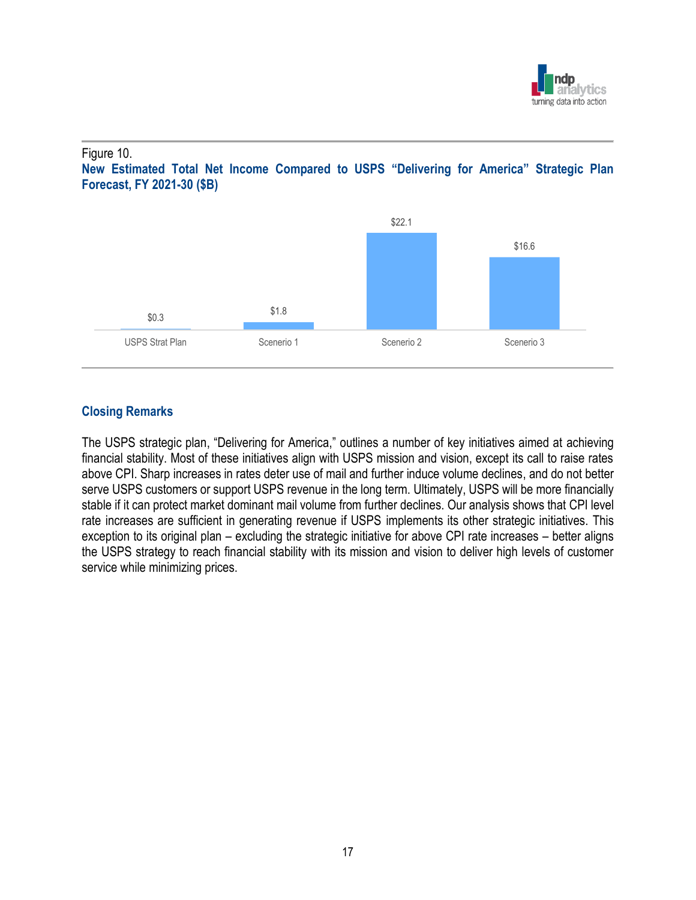

### Figure 10.





## **Closing Remarks**

The USPS strategic plan, "Delivering for America," outlines a number of key initiatives aimed at achieving financial stability. Most of these initiatives align with USPS mission and vision, except its call to raise rates above CPI. Sharp increases in rates deter use of mail and further induce volume declines, and do not better serve USPS customers or support USPS revenue in the long term. Ultimately, USPS will be more financially stable if it can protect market dominant mail volume from further declines. Our analysis shows that CPI level rate increases are sufficient in generating revenue if USPS implements its other strategic initiatives. This exception to its original plan – excluding the strategic initiative for above CPI rate increases – better aligns the USPS strategy to reach financial stability with its mission and vision to deliver high levels of customer service while minimizing prices.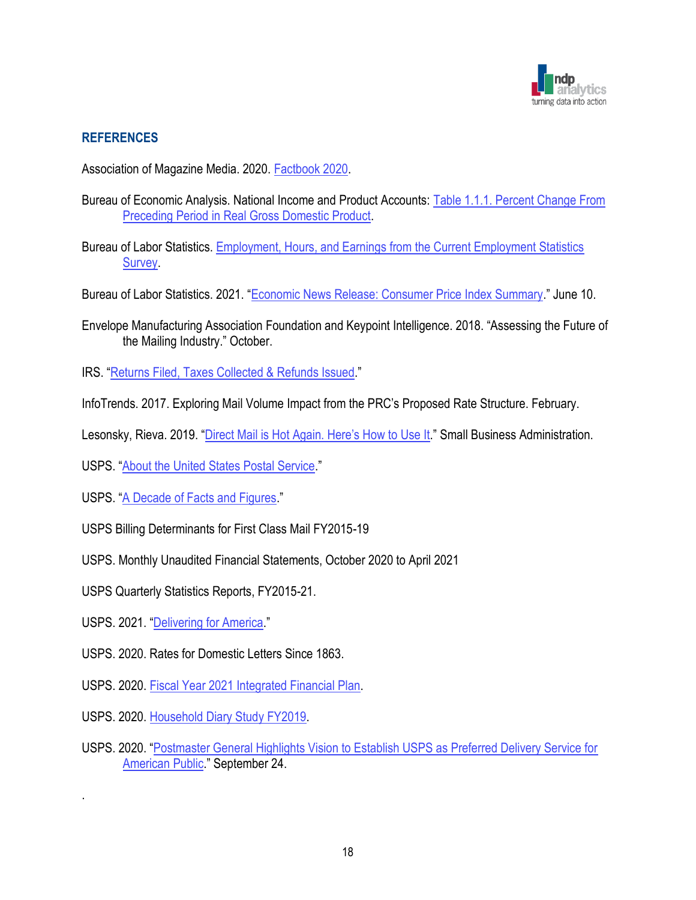

## **REFERENCES**

Association of Magazine Media. 2020. [Factbook 2020.](https://fipp.s3.amazonaws.com/media/documents/MPA_Factbook_2020.pdf)

- Bureau of Economic Analysis. National Income and Product Accounts: [Table 1.1.1. Percent Change From](https://apps.bea.gov/iTable/iTable.cfm?reqid=19&step=3&isuri=1&select_all_years=0&nipa_table_list=1&series=q&first_year=2017&last_year=2021&scale=-99&categories=survey&thetable=)  [Preceding Period in Real Gross Domestic Product.](https://apps.bea.gov/iTable/iTable.cfm?reqid=19&step=3&isuri=1&select_all_years=0&nipa_table_list=1&series=q&first_year=2017&last_year=2021&scale=-99&categories=survey&thetable=)
- Bureau of Labor Statistics. [Employment, Hours, and Earnings from the Current Employment Statistics](https://data.bls.gov/timeseries/CES0500000001)  **Survey**
- Bureau of Labor Statistics. 2021. "[Economic News Release: Consumer Price Index Summary](https://www.bls.gov/news.release/cpi.nr0.htm)." June 10.
- Envelope Manufacturing Association Foundation and Keypoint Intelligence. 2018. "Assessing the Future of the Mailing Industry." October.
- IRS. "[Returns Filed, Taxes Collected & Refunds Issued](https://www.irs.gov/statistics/returns-filed-taxes-collected-and-refunds-issued)."
- InfoTrends. 2017. Exploring Mail Volume Impact from the PRC's Proposed Rate Structure. February.
- Lesonsky, Rieva. 2019. "Direct Ma[il is Hot Again. Here's How to Use It.](https://www.sba.gov/blog/direct-mail-hot-again-heres-how-use-it)" Small Business Administration.
- USPS. "[About the United States Postal Service](https://about.usps.com/who/profile/)."
- USPS. "[A Decade of Facts and Figures](https://facts.usps.com/table-facts/)."
- USPS Billing Determinants for First Class Mail FY2015-19
- USPS. Monthly Unaudited Financial Statements, October 2020 to April 2021
- USPS Quarterly Statistics Reports, FY2015-21.
- USPS. 2021. "[Delivering for America](https://about.usps.com/what/strategic-plans/delivering-for-america/assets/USPS_Delivering-For-America.pdf)."

.

- USPS. 2020. Rates for Domestic Letters Since 1863.
- USPS. 2020. [Fiscal Year 2021 Integrated Financial Plan.](https://about.usps.com/what/financials/integrated-financial-plans/fy2021.pdf)
- USPS. 2020. [Household Diary Study FY2019.](https://www.prc.gov/docs/113/113300/2019%20Household%20Diary%20Study_Final.pdf)
- USPS. 2020. "[Postmaster General Highlights Vision to Establish USPS as Preferred Delivery Service for](https://about.usps.com/newsroom/national-releases/2020/0924-pmg-highlights-vision-usps-as-preferred-delivery.htm)  [American Public](https://about.usps.com/newsroom/national-releases/2020/0924-pmg-highlights-vision-usps-as-preferred-delivery.htm)." September 24.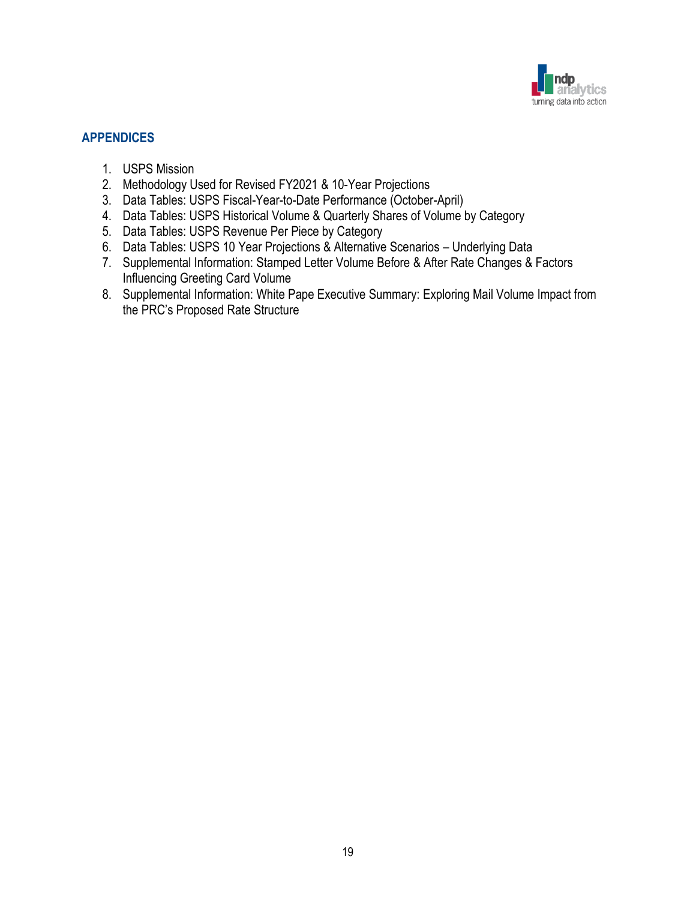

## **APPENDICES**

- 1. USPS Mission
- 2. Methodology Used for Revised FY2021 & 10-Year Projections
- 3. Data Tables: USPS Fiscal-Year-to-Date Performance (October-April)
- 4. Data Tables: USPS Historical Volume & Quarterly Shares of Volume by Category
- 5. Data Tables: USPS Revenue Per Piece by Category
- 6. Data Tables: USPS 10 Year Projections & Alternative Scenarios Underlying Data
- 7. Supplemental Information: Stamped Letter Volume Before & After Rate Changes & Factors Influencing Greeting Card Volume
- 8. Supplemental Information: White Pape Executive Summary: Exploring Mail Volume Impact from the PRC's Proposed Rate Structure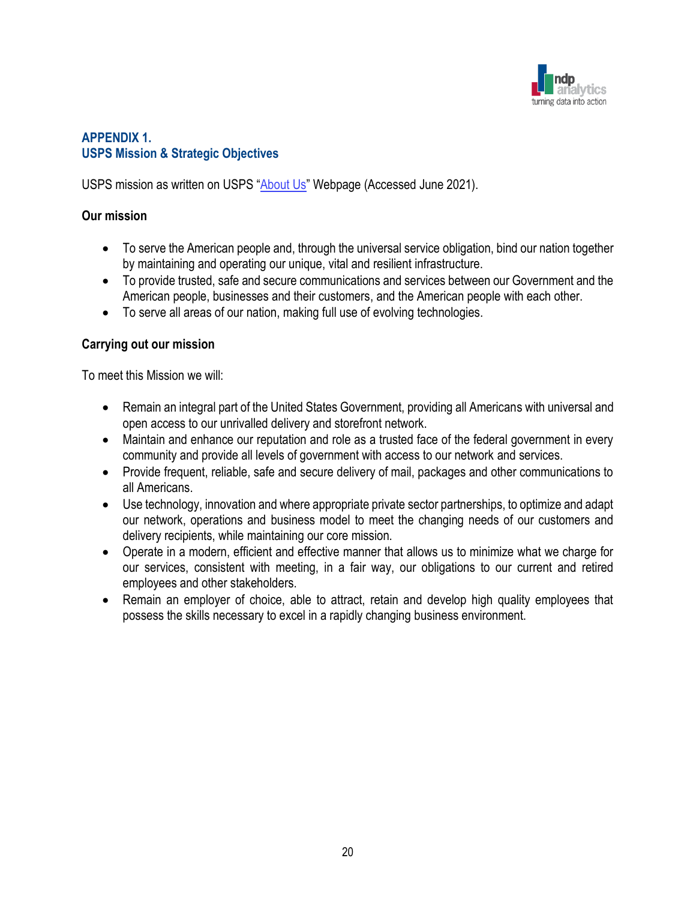

## **APPENDIX 1. USPS Mission & Strategic Objectives**

USPS mission as written on USPS "[About Us](https://about.usps.com/who/profile/)" Webpage (Accessed June 2021).

### **Our mission**

- To serve the American people and, through the universal service obligation, bind our nation together by maintaining and operating our unique, vital and resilient infrastructure.
- To provide trusted, safe and secure communications and services between our Government and the American people, businesses and their customers, and the American people with each other.
- To serve all areas of our nation, making full use of evolving technologies.

### **Carrying out our mission**

To meet this Mission we will:

- Remain an integral part of the United States Government, providing all Americans with universal and open access to our unrivalled delivery and storefront network.
- Maintain and enhance our reputation and role as a trusted face of the federal government in every community and provide all levels of government with access to our network and services.
- Provide frequent, reliable, safe and secure delivery of mail, packages and other communications to all Americans.
- Use technology, innovation and where appropriate private sector partnerships, to optimize and adapt our network, operations and business model to meet the changing needs of our customers and delivery recipients, while maintaining our core mission.
- Operate in a modern, efficient and effective manner that allows us to minimize what we charge for our services, consistent with meeting, in a fair way, our obligations to our current and retired employees and other stakeholders.
- Remain an employer of choice, able to attract, retain and develop high quality employees that possess the skills necessary to excel in a rapidly changing business environment.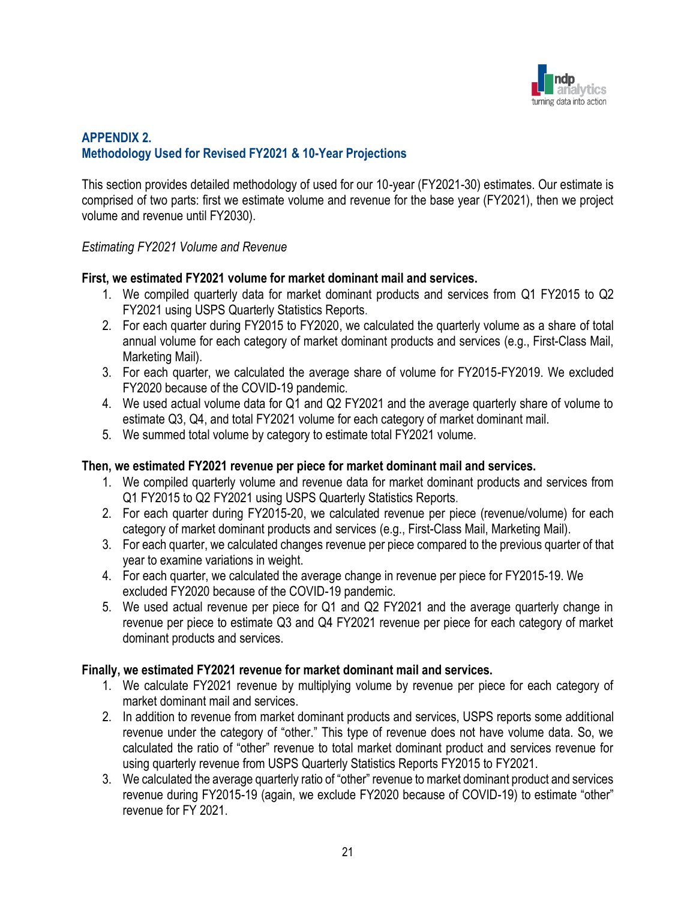

## **APPENDIX 2. Methodology Used for Revised FY2021 & 10-Year Projections**

This section provides detailed methodology of used for our 10-year (FY2021-30) estimates. Our estimate is comprised of two parts: first we estimate volume and revenue for the base year (FY2021), then we project volume and revenue until FY2030).

### *Estimating FY2021 Volume and Revenue*

### **First, we estimated FY2021 volume for market dominant mail and services.**

- 1. We compiled quarterly data for market dominant products and services from Q1 FY2015 to Q2 FY2021 using USPS Quarterly Statistics Reports.
- 2. For each quarter during FY2015 to FY2020, we calculated the quarterly volume as a share of total annual volume for each category of market dominant products and services (e.g., First-Class Mail, Marketing Mail).
- 3. For each quarter, we calculated the average share of volume for FY2015-FY2019. We excluded FY2020 because of the COVID-19 pandemic.
- 4. We used actual volume data for Q1 and Q2 FY2021 and the average quarterly share of volume to estimate Q3, Q4, and total FY2021 volume for each category of market dominant mail.
- 5. We summed total volume by category to estimate total FY2021 volume.

## **Then, we estimated FY2021 revenue per piece for market dominant mail and services.**

- 1. We compiled quarterly volume and revenue data for market dominant products and services from Q1 FY2015 to Q2 FY2021 using USPS Quarterly Statistics Reports.
- 2. For each quarter during FY2015-20, we calculated revenue per piece (revenue/volume) for each category of market dominant products and services (e.g., First-Class Mail, Marketing Mail).
- 3. For each quarter, we calculated changes revenue per piece compared to the previous quarter of that year to examine variations in weight.
- 4. For each quarter, we calculated the average change in revenue per piece for FY2015-19. We excluded FY2020 because of the COVID-19 pandemic.
- 5. We used actual revenue per piece for Q1 and Q2 FY2021 and the average quarterly change in revenue per piece to estimate Q3 and Q4 FY2021 revenue per piece for each category of market dominant products and services.

## **Finally, we estimated FY2021 revenue for market dominant mail and services.**

- 1. We calculate FY2021 revenue by multiplying volume by revenue per piece for each category of market dominant mail and services.
- 2. In addition to revenue from market dominant products and services, USPS reports some additional revenue under the category of "other." This type of revenue does not have volume data. So, we calculated the ratio of "other" revenue to total market dominant product and services revenue for using quarterly revenue from USPS Quarterly Statistics Reports FY2015 to FY2021.
- 3. We calculated the average quarterly ratio of "other" revenue to market dominant product and services revenue during FY2015-19 (again, we exclude FY2020 because of COVID-19) to estimate "other" revenue for FY 2021.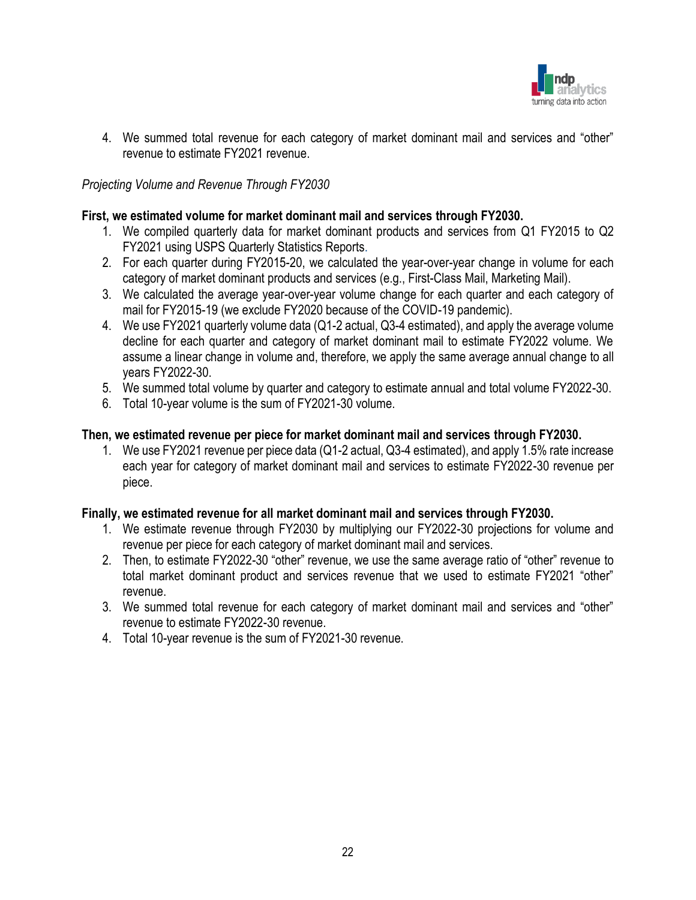

4. We summed total revenue for each category of market dominant mail and services and "other" revenue to estimate FY2021 revenue.

### *Projecting Volume and Revenue Through FY2030*

#### **First, we estimated volume for market dominant mail and services through FY2030.**

- 1. We compiled quarterly data for market dominant products and services from Q1 FY2015 to Q2 FY2021 using USPS Quarterly Statistics Reports.
- 2. For each quarter during FY2015-20, we calculated the year-over-year change in volume for each category of market dominant products and services (e.g., First-Class Mail, Marketing Mail).
- 3. We calculated the average year-over-year volume change for each quarter and each category of mail for FY2015-19 (we exclude FY2020 because of the COVID-19 pandemic).
- 4. We use FY2021 quarterly volume data (Q1-2 actual, Q3-4 estimated), and apply the average volume decline for each quarter and category of market dominant mail to estimate FY2022 volume. We assume a linear change in volume and, therefore, we apply the same average annual change to all years FY2022-30.
- 5. We summed total volume by quarter and category to estimate annual and total volume FY2022-30.
- 6. Total 10-year volume is the sum of FY2021-30 volume.

#### **Then, we estimated revenue per piece for market dominant mail and services through FY2030.**

1. We use FY2021 revenue per piece data (Q1-2 actual, Q3-4 estimated), and apply 1.5% rate increase each year for category of market dominant mail and services to estimate FY2022-30 revenue per piece.

#### **Finally, we estimated revenue for all market dominant mail and services through FY2030.**

- 1. We estimate revenue through FY2030 by multiplying our FY2022-30 projections for volume and revenue per piece for each category of market dominant mail and services.
- 2. Then, to estimate FY2022-30 "other" revenue, we use the same average ratio of "other" revenue to total market dominant product and services revenue that we used to estimate FY2021 "other" revenue.
- 3. We summed total revenue for each category of market dominant mail and services and "other" revenue to estimate FY2022-30 revenue.
- 4. Total 10-year revenue is the sum of FY2021-30 revenue.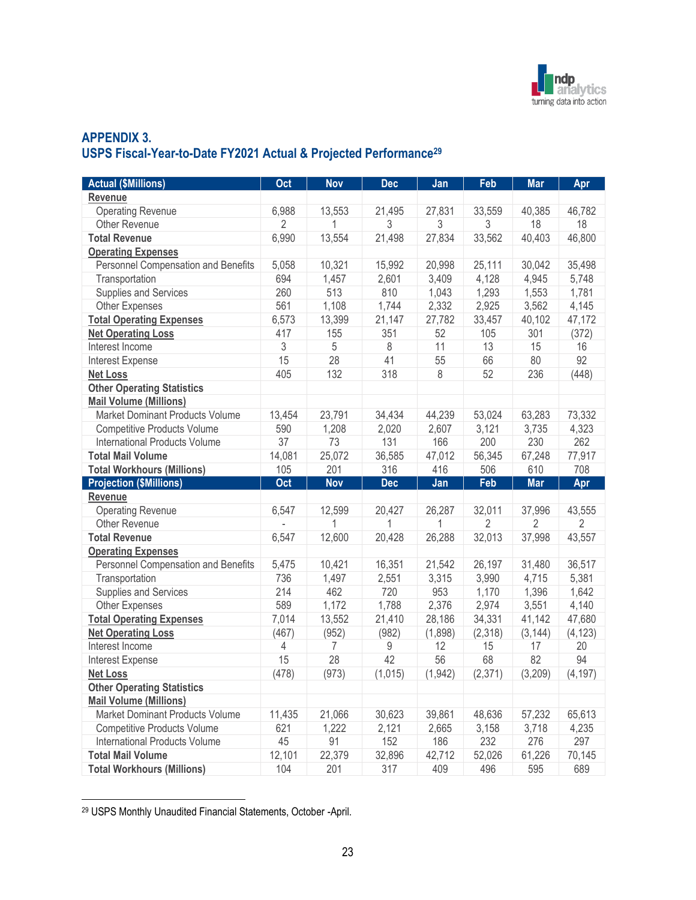

## **APPENDIX 3. USPS Fiscal-Year-to-Date FY2021 Actual & Projected Performance<sup>29</sup>**

| <b>Actual (\$Millions)</b>           | Oct            | <b>Nov</b> | <b>Dec</b>    | Jan           | Feb      | <b>Mar</b> | Apr            |
|--------------------------------------|----------------|------------|---------------|---------------|----------|------------|----------------|
| Revenue                              |                |            |               |               |          |            |                |
| <b>Operating Revenue</b>             | 6,988          | 13,553     | 21,495        | 27,831        | 33,559   | 40,385     | 46,782         |
| <b>Other Revenue</b>                 | $\overline{2}$ | 1          | 3             | 3             | 3        | 18         | 18             |
| <b>Total Revenue</b>                 | 6,990          | 13,554     | 21,498        | 27,834        | 33,562   | 40,403     | 46,800         |
| <b>Operating Expenses</b>            |                |            |               |               |          |            |                |
| Personnel Compensation and Benefits  | 5,058          | 10,321     | 15,992        | 20,998        | 25,111   | 30,042     | 35,498         |
| Transportation                       | 694            | 1,457      | 2,601         | 3,409         | 4,128    | 4,945      | 5,748          |
| Supplies and Services                | 260            | 513        | 810           | 1,043         | 1,293    | 1,553      | 1,781          |
| <b>Other Expenses</b>                | 561            | 1,108      | 1,744         | 2,332         | 2,925    | 3,562      | 4,145          |
| <b>Total Operating Expenses</b>      | 6,573          | 13,399     | 21,147        | 27,782        | 33,457   | 40,102     | 47,172         |
| <b>Net Operating Loss</b>            | 417            | 155        | 351           | 52            | 105      | 301        | (372)          |
| Interest Income                      | 3              | 5          | 8             | 11            | 13       | 15         | 16             |
| Interest Expense                     | 15             | 28         | 41            | 55            | 66       | 80         | 92             |
| <b>Net Loss</b>                      | 405            | 132        | 318           | 8             | 52       | 236        | (448)          |
| <b>Other Operating Statistics</b>    |                |            |               |               |          |            |                |
| <b>Mail Volume (Millions)</b>        |                |            |               |               |          |            |                |
| Market Dominant Products Volume      | 13,454         | 23,791     | 34,434        | 44,239        | 53,024   | 63,283     | 73,332         |
| <b>Competitive Products Volume</b>   | 590            | 1,208      | 2,020         | 2,607         | 3,121    | 3,735      | 4,323          |
| <b>International Products Volume</b> | 37             | 73         | 131           | 166           | 200      | 230        | 262            |
| <b>Total Mail Volume</b>             | 14,081         | 25,072     | 36,585        | 47,012        | 56,345   | 67,248     | 77,917         |
| <b>Total Workhours (Millions)</b>    | 105            | 201        | 316           | 416           | 506      | 610        | 708            |
| <b>Projection (\$Millions)</b>       | Oct            | <b>Nov</b> | <b>Dec</b>    | Jan           | Feb      | <b>Mar</b> | Apr            |
| <b>Revenue</b>                       |                |            |               |               |          |            |                |
| <b>Operating Revenue</b>             | 6,547          | 12,599     | 20,427        | 26,287        | 32,011   | 37,996     | 43,555         |
| <b>Other Revenue</b>                 |                | 1          | 1             | 1             | 2        | 2          | $\overline{2}$ |
| <b>Total Revenue</b>                 | 6,547          | 12,600     | 20,428        | 26,288        | 32,013   | 37,998     | 43,557         |
| <b>Operating Expenses</b>            |                |            |               |               |          |            |                |
| Personnel Compensation and Benefits  | 5,475          | 10,421     | 16,351        | 21,542        | 26,197   | 31,480     | 36,517         |
| Transportation                       | 736            | 1,497      | 2,551         | 3,315         | 3,990    | 4,715      | 5,381          |
| Supplies and Services                | 214            | 462        | 720           | 953           | 1,170    | 1,396      | 1,642          |
| <b>Other Expenses</b>                | 589            | 1,172      | 1,788         | 2,376         | 2,974    | 3,551      | 4,140          |
| <b>Total Operating Expenses</b>      | 7,014          | 13,552     | 21,410        | 28,186        | 34,331   | 41,142     | 47,680         |
| <b>Net Operating Loss</b>            | (467)          | (952)      | (982)         | (1,898)       | (2,318)  | (3, 144)   | (4, 123)       |
| Interest Income                      | 4              | 7          | 9             | 12            | 15       | 17         | 20             |
| Interest Expense                     | 15             | 28         | 42            | 56            | 68       | 82         | 94             |
| <b>Net Loss</b>                      | (478)          | (973)      | (1,015)       | (1, 942)      | (2, 371) | (3,209)    | (4, 197)       |
| <b>Other Operating Statistics</b>    |                |            |               |               |          |            |                |
| <b>Mail Volume (Millions)</b>        |                |            |               |               |          |            |                |
| Market Dominant Products Volume      | 11,435         | 21,066     | 30,623        | 39,861        | 48,636   | 57,232     | 65,613         |
| <b>Competitive Products Volume</b>   | 621            | 1,222      | 2,121         | 2,665         | 3,158    | 3,718      | 4,235          |
| <b>International Products Volume</b> | 45             | 91         | 152           | 186           | 232      | 276        | 297            |
| <b>Total Mail Volume</b>             |                |            |               |               |          |            |                |
| <b>Total Workhours (Millions)</b>    | 12,101<br>104  | 22,379     | 32,896<br>317 | 42,712<br>409 | 52,026   | 61,226     | 70,145<br>689  |

<sup>29</sup> USPS Monthly Unaudited Financial Statements, October -April.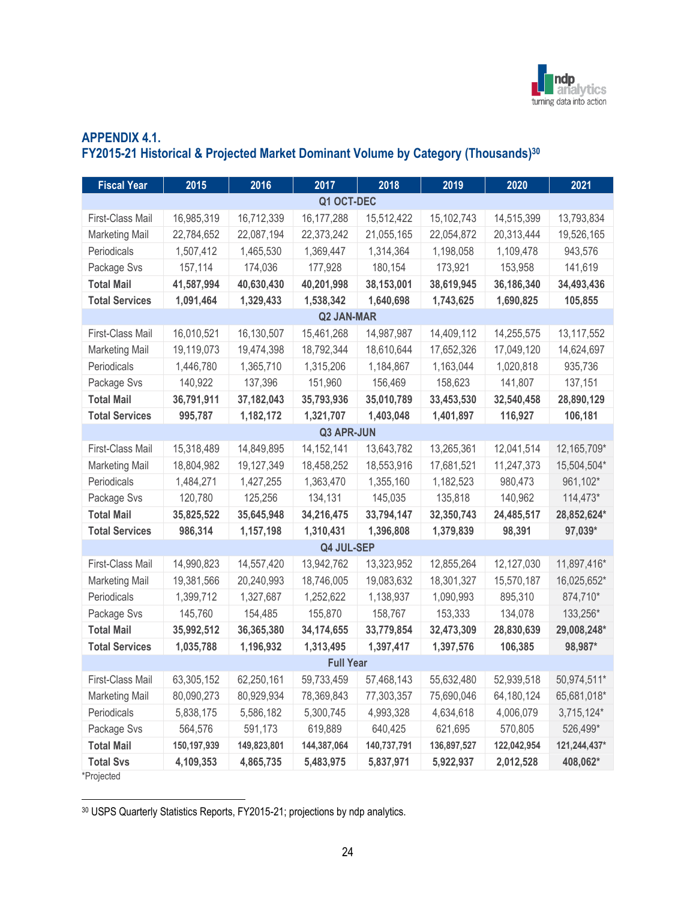

## **APPENDIX 4.1. FY2015-21 Historical & Projected Market Dominant Volume by Category (Thousands)<sup>30</sup>**

| <b>Fiscal Year</b>    | 2015        | 2016        | 2017              | 2018        | 2019        | 2020        | 2021         |
|-----------------------|-------------|-------------|-------------------|-------------|-------------|-------------|--------------|
|                       |             |             | Q1 OCT-DEC        |             |             |             |              |
| First-Class Mail      | 16,985,319  | 16,712,339  | 16, 177, 288      | 15,512,422  | 15,102,743  | 14,515,399  | 13,793,834   |
| <b>Marketing Mail</b> | 22,784,652  | 22,087,194  | 22,373,242        | 21,055,165  | 22,054,872  | 20,313,444  | 19,526,165   |
| Periodicals           | 1,507,412   | 1,465,530   | 1,369,447         | 1,314,364   | 1,198,058   | 1,109,478   | 943,576      |
| Package Svs           | 157,114     | 174,036     | 177,928           | 180,154     | 173,921     | 153,958     | 141,619      |
| <b>Total Mail</b>     | 41,587,994  | 40,630,430  | 40,201,998        | 38,153,001  | 38,619,945  | 36,186,340  | 34,493,436   |
| <b>Total Services</b> | 1,091,464   | 1,329,433   | 1,538,342         | 1,640,698   | 1,743,625   | 1,690,825   | 105,855      |
|                       |             |             | <b>Q2 JAN-MAR</b> |             |             |             |              |
| First-Class Mail      | 16,010,521  | 16,130,507  | 15,461,268        | 14,987,987  | 14,409,112  | 14,255,575  | 13,117,552   |
| <b>Marketing Mail</b> | 19,119,073  | 19,474,398  | 18,792,344        | 18,610,644  | 17,652,326  | 17,049,120  | 14,624,697   |
| Periodicals           | 1,446,780   | 1,365,710   | 1,315,206         | 1,184,867   | 1,163,044   | 1,020,818   | 935,736      |
| Package Svs           | 140,922     | 137,396     | 151,960           | 156,469     | 158,623     | 141,807     | 137,151      |
| <b>Total Mail</b>     | 36,791,911  | 37,182,043  | 35,793,936        | 35,010,789  | 33,453,530  | 32,540,458  | 28,890,129   |
| <b>Total Services</b> | 995,787     | 1,182,172   | 1,321,707         | 1,403,048   | 1,401,897   | 116,927     | 106,181      |
|                       |             |             | <b>Q3 APR-JUN</b> |             |             |             |              |
| First-Class Mail      | 15,318,489  | 14,849,895  | 14, 152, 141      | 13,643,782  | 13,265,361  | 12,041,514  | 12,165,709*  |
| <b>Marketing Mail</b> | 18,804,982  | 19,127,349  | 18,458,252        | 18,553,916  | 17,681,521  | 11,247,373  | 15,504,504*  |
| Periodicals           | 1,484,271   | 1,427,255   | 1,363,470         | 1,355,160   | 1,182,523   | 980,473     | 961,102*     |
| Package Svs           | 120,780     | 125,256     | 134,131           | 145,035     | 135,818     | 140,962     | 114,473*     |
| <b>Total Mail</b>     | 35,825,522  | 35,645,948  | 34,216,475        | 33,794,147  | 32,350,743  | 24,485,517  | 28,852,624*  |
| <b>Total Services</b> | 986,314     | 1,157,198   | 1,310,431         | 1,396,808   | 1,379,839   | 98,391      | 97,039*      |
|                       |             |             | Q4 JUL-SEP        |             |             |             |              |
| First-Class Mail      | 14,990,823  | 14,557,420  | 13,942,762        | 13,323,952  | 12,855,264  | 12,127,030  | 11,897,416*  |
| <b>Marketing Mail</b> | 19,381,566  | 20,240,993  | 18,746,005        | 19,083,632  | 18,301,327  | 15,570,187  | 16,025,652*  |
| Periodicals           | 1,399,712   | 1,327,687   | 1,252,622         | 1,138,937   | 1,090,993   | 895,310     | 874,710*     |
| Package Svs           | 145,760     | 154,485     | 155,870           | 158,767     | 153,333     | 134,078     | 133,256*     |
| <b>Total Mail</b>     | 35,992,512  | 36,365,380  | 34,174,655        | 33,779,854  | 32,473,309  | 28,830,639  | 29,008,248*  |
| <b>Total Services</b> | 1,035,788   | 1,196,932   | 1,313,495         | 1,397,417   | 1,397,576   | 106,385     | 98,987*      |
|                       |             |             | <b>Full Year</b>  |             |             |             |              |
| First-Class Mail      | 63,305,152  | 62,250,161  | 59,733,459        | 57,468,143  | 55,632,480  | 52,939,518  | 50,974,511*  |
| <b>Marketing Mail</b> | 80,090,273  | 80,929,934  | 78,369,843        | 77,303,357  | 75,690,046  | 64,180,124  | 65,681,018*  |
| Periodicals           | 5,838,175   | 5,586,182   | 5,300,745         | 4,993,328   | 4,634,618   | 4,006,079   | 3,715,124*   |
| Package Svs           | 564,576     | 591,173     | 619,889           | 640,425     | 621,695     | 570,805     | 526,499*     |
| <b>Total Mail</b>     | 150,197,939 | 149,823,801 | 144,387,064       | 140,737,791 | 136,897,527 | 122,042,954 | 121,244,437* |
| <b>Total Svs</b>      | 4,109,353   | 4,865,735   | 5,483,975         | 5,837,971   | 5,922,937   | 2,012,528   | 408,062*     |
| *Projected            |             |             |                   |             |             |             |              |

<sup>30</sup> USPS Quarterly Statistics Reports, FY2015-21; projections by ndp analytics.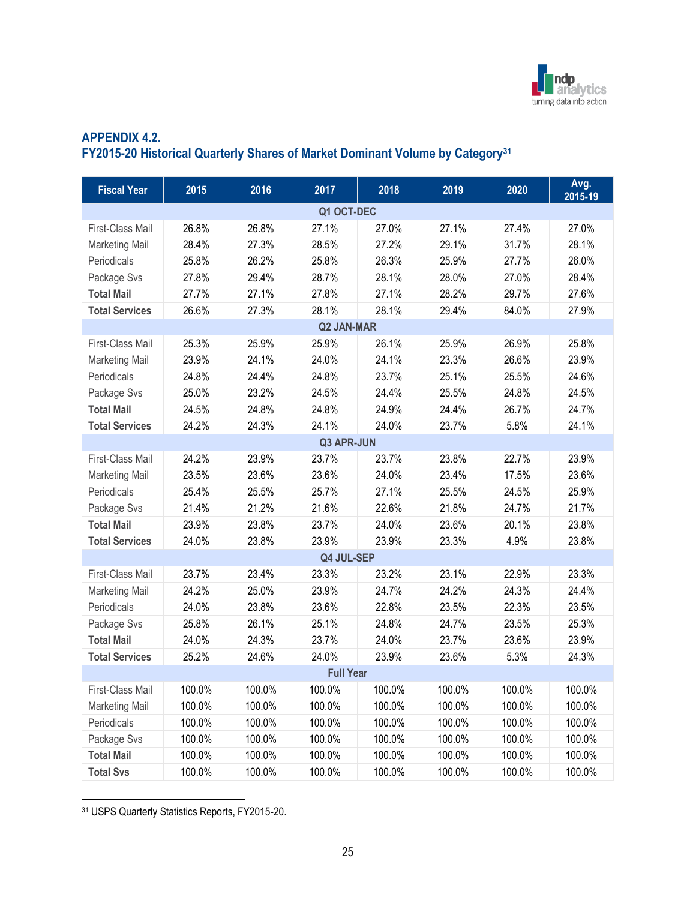

## **APPENDIX 4.2. FY2015-20 Historical Quarterly Shares of Market Dominant Volume by Category<sup>31</sup>**

| <b>Fiscal Year</b>    | 2015   | 2016   | 2017              | 2018   | 2019   | 2020   | Avg.<br>2015-19 |
|-----------------------|--------|--------|-------------------|--------|--------|--------|-----------------|
|                       |        |        | Q1 OCT-DEC        |        |        |        |                 |
| First-Class Mail      | 26.8%  | 26.8%  | 27.1%             | 27.0%  | 27.1%  | 27.4%  | 27.0%           |
| <b>Marketing Mail</b> | 28.4%  | 27.3%  | 28.5%             | 27.2%  | 29.1%  | 31.7%  | 28.1%           |
| Periodicals           | 25.8%  | 26.2%  | 25.8%             | 26.3%  | 25.9%  | 27.7%  | 26.0%           |
| Package Svs           | 27.8%  | 29.4%  | 28.7%             | 28.1%  | 28.0%  | 27.0%  | 28.4%           |
| <b>Total Mail</b>     | 27.7%  | 27.1%  | 27.8%             | 27.1%  | 28.2%  | 29.7%  | 27.6%           |
| <b>Total Services</b> | 26.6%  | 27.3%  | 28.1%             | 28.1%  | 29.4%  | 84.0%  | 27.9%           |
|                       |        |        | <b>Q2 JAN-MAR</b> |        |        |        |                 |
| First-Class Mail      | 25.3%  | 25.9%  | 25.9%             | 26.1%  | 25.9%  | 26.9%  | 25.8%           |
| <b>Marketing Mail</b> | 23.9%  | 24.1%  | 24.0%             | 24.1%  | 23.3%  | 26.6%  | 23.9%           |
| Periodicals           | 24.8%  | 24.4%  | 24.8%             | 23.7%  | 25.1%  | 25.5%  | 24.6%           |
| Package Svs           | 25.0%  | 23.2%  | 24.5%             | 24.4%  | 25.5%  | 24.8%  | 24.5%           |
| <b>Total Mail</b>     | 24.5%  | 24.8%  | 24.8%             | 24.9%  | 24.4%  | 26.7%  | 24.7%           |
| <b>Total Services</b> | 24.2%  | 24.3%  | 24.1%             | 24.0%  | 23.7%  | 5.8%   | 24.1%           |
|                       |        |        | Q3 APR-JUN        |        |        |        |                 |
| First-Class Mail      | 24.2%  | 23.9%  | 23.7%             | 23.7%  | 23.8%  | 22.7%  | 23.9%           |
| <b>Marketing Mail</b> | 23.5%  | 23.6%  | 23.6%             | 24.0%  | 23.4%  | 17.5%  | 23.6%           |
| Periodicals           | 25.4%  | 25.5%  | 25.7%             | 27.1%  | 25.5%  | 24.5%  | 25.9%           |
| Package Svs           | 21.4%  | 21.2%  | 21.6%             | 22.6%  | 21.8%  | 24.7%  | 21.7%           |
| <b>Total Mail</b>     | 23.9%  | 23.8%  | 23.7%             | 24.0%  | 23.6%  | 20.1%  | 23.8%           |
| <b>Total Services</b> | 24.0%  | 23.8%  | 23.9%             | 23.9%  | 23.3%  | 4.9%   | 23.8%           |
|                       |        |        | Q4 JUL-SEP        |        |        |        |                 |
| First-Class Mail      | 23.7%  | 23.4%  | 23.3%             | 23.2%  | 23.1%  | 22.9%  | 23.3%           |
| <b>Marketing Mail</b> | 24.2%  | 25.0%  | 23.9%             | 24.7%  | 24.2%  | 24.3%  | 24.4%           |
| Periodicals           | 24.0%  | 23.8%  | 23.6%             | 22.8%  | 23.5%  | 22.3%  | 23.5%           |
| Package Svs           | 25.8%  | 26.1%  | 25.1%             | 24.8%  | 24.7%  | 23.5%  | 25.3%           |
| <b>Total Mail</b>     | 24.0%  | 24.3%  | 23.7%             | 24.0%  | 23.7%  | 23.6%  | 23.9%           |
| <b>Total Services</b> | 25.2%  | 24.6%  | 24.0%             | 23.9%  | 23.6%  | 5.3%   | 24.3%           |
|                       |        |        | <b>Full Year</b>  |        |        |        |                 |
| First-Class Mail      | 100.0% | 100.0% | 100.0%            | 100.0% | 100.0% | 100.0% | 100.0%          |
| <b>Marketing Mail</b> | 100.0% | 100.0% | 100.0%            | 100.0% | 100.0% | 100.0% | 100.0%          |
| Periodicals           | 100.0% | 100.0% | 100.0%            | 100.0% | 100.0% | 100.0% | 100.0%          |
| Package Svs           | 100.0% | 100.0% | 100.0%            | 100.0% | 100.0% | 100.0% | 100.0%          |
| <b>Total Mail</b>     | 100.0% | 100.0% | 100.0%            | 100.0% | 100.0% | 100.0% | 100.0%          |
| <b>Total Svs</b>      | 100.0% | 100.0% | 100.0%            | 100.0% | 100.0% | 100.0% | 100.0%          |

<sup>31</sup> USPS Quarterly Statistics Reports, FY2015-20.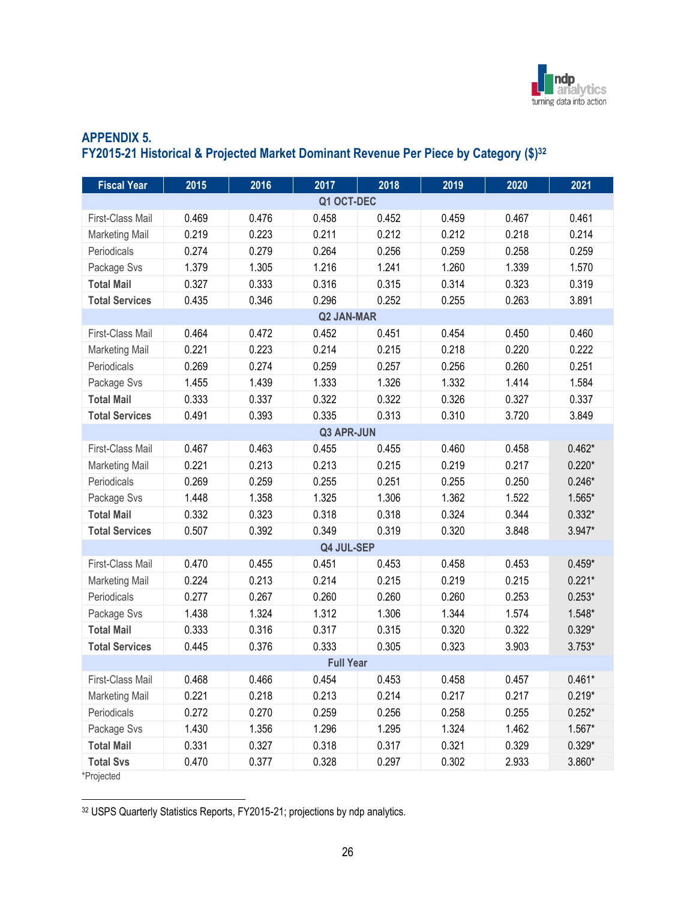

## **APPENDIX 5. FY2015-21 Historical & Projected Market Dominant Revenue Per Piece by Category (\$)<sup>32</sup>**

| <b>Fiscal Year</b>    | 2015  | 2016  | 2017              | 2018  | 2019  | 2020  | 2021     |
|-----------------------|-------|-------|-------------------|-------|-------|-------|----------|
|                       |       |       | Q1 OCT-DEC        |       |       |       |          |
| First-Class Mail      | 0.469 | 0.476 | 0.458             | 0.452 | 0.459 | 0.467 | 0.461    |
| <b>Marketing Mail</b> | 0.219 | 0.223 | 0.211             | 0.212 | 0.212 | 0.218 | 0.214    |
| Periodicals           | 0.274 | 0.279 | 0.264             | 0.256 | 0.259 | 0.258 | 0.259    |
| Package Svs           | 1.379 | 1.305 | 1.216             | 1.241 | 1.260 | 1.339 | 1.570    |
| <b>Total Mail</b>     | 0.327 | 0.333 | 0.316             | 0.315 | 0.314 | 0.323 | 0.319    |
| <b>Total Services</b> | 0.435 | 0.346 | 0.296             | 0.252 | 0.255 | 0.263 | 3.891    |
|                       |       |       | <b>Q2 JAN-MAR</b> |       |       |       |          |
| First-Class Mail      | 0.464 | 0.472 | 0.452             | 0.451 | 0.454 | 0.450 | 0.460    |
| <b>Marketing Mail</b> | 0.221 | 0.223 | 0.214             | 0.215 | 0.218 | 0.220 | 0.222    |
| Periodicals           | 0.269 | 0.274 | 0.259             | 0.257 | 0.256 | 0.260 | 0.251    |
| Package Svs           | 1.455 | 1.439 | 1.333             | 1.326 | 1.332 | 1.414 | 1.584    |
| <b>Total Mail</b>     | 0.333 | 0.337 | 0.322             | 0.322 | 0.326 | 0.327 | 0.337    |
| <b>Total Services</b> | 0.491 | 0.393 | 0.335             | 0.313 | 0.310 | 3.720 | 3.849    |
|                       |       |       | <b>Q3 APR-JUN</b> |       |       |       |          |
| First-Class Mail      | 0.467 | 0.463 | 0.455             | 0.455 | 0.460 | 0.458 | $0.462*$ |
| <b>Marketing Mail</b> | 0.221 | 0.213 | 0.213             | 0.215 | 0.219 | 0.217 | $0.220*$ |
| Periodicals           | 0.269 | 0.259 | 0.255             | 0.251 | 0.255 | 0.250 | $0.246*$ |
| Package Svs           | 1.448 | 1.358 | 1.325             | 1.306 | 1.362 | 1.522 | $1.565*$ |
| <b>Total Mail</b>     | 0.332 | 0.323 | 0.318             | 0.318 | 0.324 | 0.344 | $0.332*$ |
| <b>Total Services</b> | 0.507 | 0.392 | 0.349             | 0.319 | 0.320 | 3.848 | $3.947*$ |
|                       |       |       | Q4 JUL-SEP        |       |       |       |          |
| First-Class Mail      | 0.470 | 0.455 | 0.451             | 0.453 | 0.458 | 0.453 | $0.459*$ |
| <b>Marketing Mail</b> | 0.224 | 0.213 | 0.214             | 0.215 | 0.219 | 0.215 | $0.221*$ |
| Periodicals           | 0.277 | 0.267 | 0.260             | 0.260 | 0.260 | 0.253 | $0.253*$ |
| Package Svs           | 1.438 | 1.324 | 1.312             | 1.306 | 1.344 | 1.574 | $1.548*$ |
| <b>Total Mail</b>     | 0.333 | 0.316 | 0.317             | 0.315 | 0.320 | 0.322 | $0.329*$ |
| <b>Total Services</b> | 0.445 | 0.376 | 0.333             | 0.305 | 0.323 | 3.903 | $3.753*$ |
|                       |       |       | <b>Full Year</b>  |       |       |       |          |
| First-Class Mail      | 0.468 | 0.466 | 0.454             | 0.453 | 0.458 | 0.457 | $0.461*$ |
| <b>Marketing Mail</b> | 0.221 | 0.218 | 0.213             | 0.214 | 0.217 | 0.217 | $0.219*$ |
| Periodicals           | 0.272 | 0.270 | 0.259             | 0.256 | 0.258 | 0.255 | $0.252*$ |
| Package Svs           | 1.430 | 1.356 | 1.296             | 1.295 | 1.324 | 1.462 | $1.567*$ |
| <b>Total Mail</b>     | 0.331 | 0.327 | 0.318             | 0.317 | 0.321 | 0.329 | $0.329*$ |
| <b>Total Svs</b>      | 0.470 | 0.377 | 0.328             | 0.297 | 0.302 | 2.933 | $3.860*$ |
| *Projected            |       |       |                   |       |       |       |          |

32 USPS Quarterly Statistics Reports, FY2015-21; projections by ndp analytics.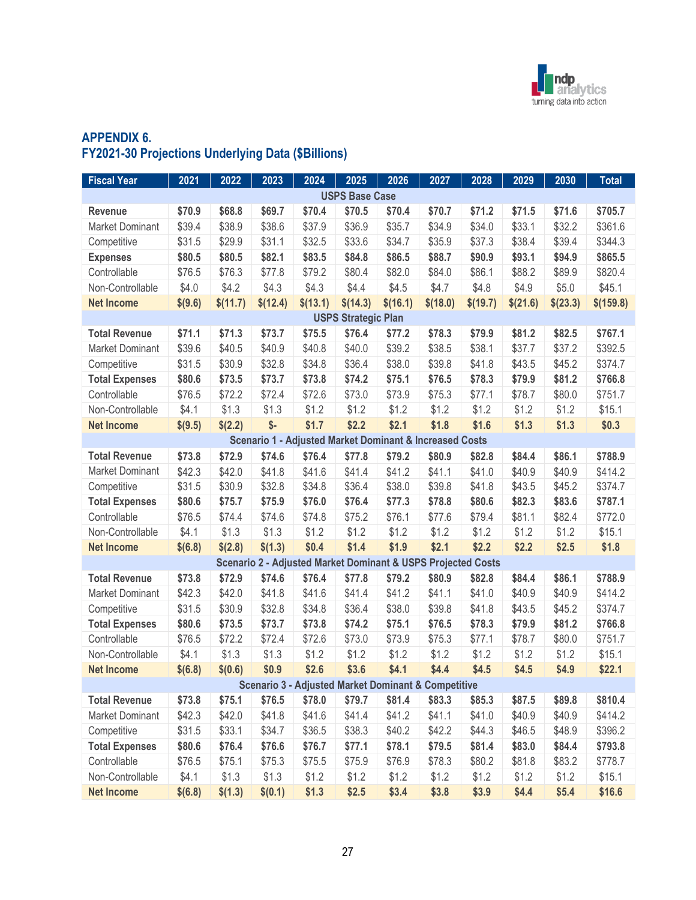

## **APPENDIX 6. FY2021-30 Projections Underlying Data (\$Billions)**

| <b>Fiscal Year</b>     | 2021    | 2022     | 2023     | 2024                                                               | 2025                       | 2026     | 2027     | 2028     | 2029     | 2030     | <b>Total</b> |
|------------------------|---------|----------|----------|--------------------------------------------------------------------|----------------------------|----------|----------|----------|----------|----------|--------------|
|                        |         |          |          |                                                                    | <b>USPS Base Case</b>      |          |          |          |          |          |              |
| Revenue                | \$70.9  | \$68.8   | \$69.7   | \$70.4                                                             | \$70.5                     | \$70.4   | \$70.7   | \$71.2   | \$71.5   | \$71.6   | \$705.7      |
| <b>Market Dominant</b> | \$39.4  | \$38.9   | \$38.6   | \$37.9                                                             | \$36.9                     | \$35.7   | \$34.9   | \$34.0   | \$33.1   | \$32.2   | \$361.6      |
| Competitive            | \$31.5  | \$29.9   | \$31.1   | \$32.5                                                             | \$33.6                     | \$34.7   | \$35.9   | \$37.3   | \$38.4   | \$39.4   | \$344.3      |
| <b>Expenses</b>        | \$80.5  | \$80.5   | \$82.1   | \$83.5                                                             | \$84.8                     | \$86.5   | \$88.7   | \$90.9   | \$93.1   | \$94.9   | \$865.5      |
| Controllable           | \$76.5  | \$76.3   | \$77.8   | \$79.2                                                             | \$80.4                     | \$82.0   | \$84.0   | \$86.1   | \$88.2   | \$89.9   | \$820.4      |
| Non-Controllable       | \$4.0   | \$4.2    | \$4.3    | \$4.3                                                              | \$4.4                      | \$4.5    | \$4.7    | \$4.8    | \$4.9    | \$5.0    | \$45.1       |
| <b>Net Income</b>      | \$(9.6) | \$(11.7) | \$(12.4) | \$(13.1)                                                           | \$(14.3)                   | \$(16.1) | \$(18.0) | \$(19.7) | \$(21.6) | \$(23.3) | \$(159.8)    |
|                        |         |          |          |                                                                    | <b>USPS Strategic Plan</b> |          |          |          |          |          |              |
| <b>Total Revenue</b>   | \$71.1  | \$71.3   | \$73.7   | \$75.5                                                             | \$76.4                     | \$77.2   | \$78.3   | \$79.9   | \$81.2   | \$82.5   | \$767.1      |
| <b>Market Dominant</b> | \$39.6  | \$40.5   | \$40.9   | \$40.8                                                             | \$40.0                     | \$39.2   | \$38.5   | \$38.1   | \$37.7   | \$37.2   | \$392.5      |
| Competitive            | \$31.5  | \$30.9   | \$32.8   | \$34.8                                                             | \$36.4                     | \$38.0   | \$39.8   | \$41.8   | \$43.5   | \$45.2   | \$374.7      |
| <b>Total Expenses</b>  | \$80.6  | \$73.5   | \$73.7   | \$73.8                                                             | \$74.2                     | \$75.1   | \$76.5   | \$78.3   | \$79.9   | \$81.2   | \$766.8      |
| Controllable           | \$76.5  | \$72.2   | \$72.4   | \$72.6                                                             | \$73.0                     | \$73.9   | \$75.3   | \$77.1   | \$78.7   | \$80.0   | \$751.7      |
| Non-Controllable       | \$4.1   | \$1.3    | \$1.3    | \$1.2                                                              | \$1.2                      | \$1.2    | \$1.2    | \$1.2    | \$1.2    | \$1.2    | \$15.1       |
| <b>Net Income</b>      | \$(9.5) | \$(2.2)  | $$-$     | \$1.7                                                              | \$2.2                      | \$2.1    | \$1.8    | \$1.6    | \$1.3    | \$1.3    | \$0.3        |
|                        |         |          |          | <b>Scenario 1 - Adjusted Market Dominant &amp; Increased Costs</b> |                            |          |          |          |          |          |              |
| <b>Total Revenue</b>   | \$73.8  | \$72.9   | \$74.6   | \$76.4                                                             | \$77.8                     | \$79.2   | \$80.9   | \$82.8   | \$84.4   | \$86.1   | \$788.9      |
| <b>Market Dominant</b> | \$42.3  | \$42.0   | \$41.8   | \$41.6                                                             | \$41.4                     | \$41.2   | \$41.1   | \$41.0   | \$40.9   | \$40.9   | \$414.2      |
| Competitive            | \$31.5  | \$30.9   | \$32.8   | \$34.8                                                             | \$36.4                     | \$38.0   | \$39.8   | \$41.8   | \$43.5   | \$45.2   | \$374.7      |
| <b>Total Expenses</b>  | \$80.6  | \$75.7   | \$75.9   | \$76.0                                                             | \$76.4                     | \$77.3   | \$78.8   | \$80.6   | \$82.3   | \$83.6   | \$787.1      |
| Controllable           | \$76.5  | \$74.4   | \$74.6   | \$74.8                                                             | \$75.2                     | \$76.1   | \$77.6   | \$79.4   | \$81.1   | \$82.4   | \$772.0      |
| Non-Controllable       | \$4.1   | \$1.3    | \$1.3    | \$1.2                                                              | \$1.2                      | \$1.2    | \$1.2    | \$1.2    | \$1.2    | \$1.2    | \$15.1       |
| <b>Net Income</b>      | \$(6.8) | \$(2.8)  | \$(1.3)  | \$0.4                                                              | \$1.4                      | \$1.9    | \$2.1    | \$2.2    | \$2.2    | \$2.5    | \$1.8        |
|                        |         |          |          | Scenario 2 - Adjusted Market Dominant & USPS Projected Costs       |                            |          |          |          |          |          |              |
| <b>Total Revenue</b>   | \$73.8  | \$72.9   | \$74.6   | \$76.4                                                             | \$77.8                     | \$79.2   | \$80.9   | \$82.8   | \$84.4   | \$86.1   | \$788.9      |
| <b>Market Dominant</b> | \$42.3  | \$42.0   | \$41.8   | \$41.6                                                             | \$41.4                     | \$41.2   | \$41.1   | \$41.0   | \$40.9   | \$40.9   | \$414.2      |
| Competitive            | \$31.5  | \$30.9   | \$32.8   | \$34.8                                                             | \$36.4                     | \$38.0   | \$39.8   | \$41.8   | \$43.5   | \$45.2   | \$374.7      |
| <b>Total Expenses</b>  | \$80.6  | \$73.5   | \$73.7   | \$73.8                                                             | \$74.2                     | \$75.1   | \$76.5   | \$78.3   | \$79.9   | \$81.2   | \$766.8      |
| Controllable           | \$76.5  | \$72.2   | \$72.4   | \$72.6                                                             | \$73.0                     | \$73.9   | \$75.3   | \$77.1   | \$78.7   | \$80.0   | \$751.7      |
| Non-Controllable       | \$4.1   | \$1.3    | \$1.3    | \$1.2                                                              | \$1.2                      | \$1.2    | \$1.2    | \$1.2    | \$1.2    | \$1.2    | \$15.1       |
| <b>Net Income</b>      | \$(6.8) | \$(0.6)  | \$0.9    | \$2.6                                                              | \$3.6                      | \$4.1    | \$4.4    | \$4.5    | \$4.5    | \$4.9    | \$22.1       |
|                        |         |          |          | <b>Scenario 3 - Adjusted Market Dominant &amp; Competitive</b>     |                            |          |          |          |          |          |              |
| <b>Total Revenue</b>   | \$73.8  | \$75.1   | \$76.5   | \$78.0                                                             | \$79.7                     | \$81.4   | \$83.3   | \$85.3   | \$87.5   | \$89.8   | \$810.4      |
| <b>Market Dominant</b> | \$42.3  | \$42.0   | \$41.8   | \$41.6                                                             | \$41.4                     | \$41.2   | \$41.1   | \$41.0   | \$40.9   | \$40.9   | \$414.2      |
| Competitive            | \$31.5  | \$33.1   | \$34.7   | \$36.5                                                             | \$38.3                     | \$40.2   | \$42.2   | \$44.3   | \$46.5   | \$48.9   | \$396.2      |
| <b>Total Expenses</b>  | \$80.6  | \$76.4   | \$76.6   | \$76.7                                                             | \$77.1                     | \$78.1   | \$79.5   | \$81.4   | \$83.0   | \$84.4   | \$793.8      |
| Controllable           | \$76.5  | \$75.1   | \$75.3   | \$75.5                                                             | \$75.9                     | \$76.9   | \$78.3   | \$80.2   | \$81.8   | \$83.2   | \$778.7      |
| Non-Controllable       | \$4.1   | \$1.3    | \$1.3    | \$1.2                                                              | \$1.2                      | \$1.2    | \$1.2    | \$1.2    | \$1.2    | \$1.2    | \$15.1       |
| <b>Net Income</b>      | \$(6.8) | \$(1.3)  | \$(0.1)  | \$1.3                                                              | \$2.5                      | \$3.4    | \$3.8    | \$3.9    | \$4.4\$  | \$5.4    | \$16.6       |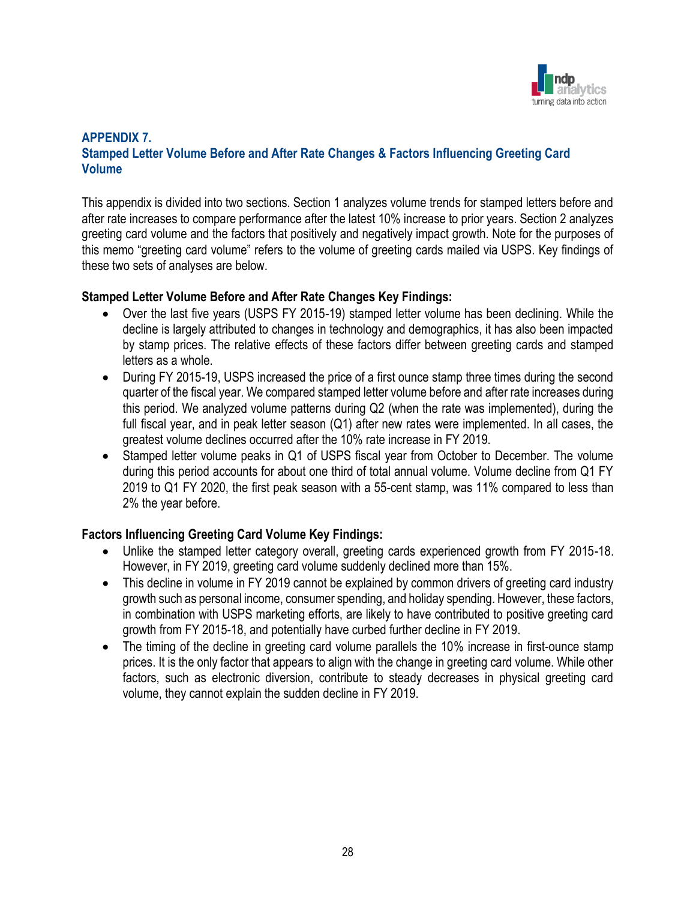

## **APPENDIX 7. Stamped Letter Volume Before and After Rate Changes & Factors Influencing Greeting Card Volume**

This appendix is divided into two sections. Section 1 analyzes volume trends for stamped letters before and after rate increases to compare performance after the latest 10% increase to prior years. Section 2 analyzes greeting card volume and the factors that positively and negatively impact growth. Note for the purposes of this memo "greeting card volume" refers to the volume of greeting cards mailed via USPS. Key findings of these two sets of analyses are below.

### **Stamped Letter Volume Before and After Rate Changes Key Findings:**

- Over the last five years (USPS FY 2015-19) stamped letter volume has been declining. While the decline is largely attributed to changes in technology and demographics, it has also been impacted by stamp prices. The relative effects of these factors differ between greeting cards and stamped letters as a whole.
- During FY 2015-19, USPS increased the price of a first ounce stamp three times during the second quarter of the fiscal year. We compared stamped letter volume before and after rate increases during this period. We analyzed volume patterns during Q2 (when the rate was implemented), during the full fiscal year, and in peak letter season (Q1) after new rates were implemented. In all cases, the greatest volume declines occurred after the 10% rate increase in FY 2019.
- Stamped letter volume peaks in Q1 of USPS fiscal year from October to December. The volume during this period accounts for about one third of total annual volume. Volume decline from Q1 FY 2019 to Q1 FY 2020, the first peak season with a 55-cent stamp, was 11% compared to less than 2% the year before.

## **Factors Influencing Greeting Card Volume Key Findings:**

- Unlike the stamped letter category overall, greeting cards experienced growth from FY 2015-18. However, in FY 2019, greeting card volume suddenly declined more than 15%.
- This decline in volume in FY 2019 cannot be explained by common drivers of greeting card industry growth such as personal income, consumer spending, and holiday spending. However, these factors, in combination with USPS marketing efforts, are likely to have contributed to positive greeting card growth from FY 2015-18, and potentially have curbed further decline in FY 2019.
- The timing of the decline in greeting card volume parallels the 10% increase in first-ounce stamp prices. It is the only factor that appears to align with the change in greeting card volume. While other factors, such as electronic diversion, contribute to steady decreases in physical greeting card volume, they cannot explain the sudden decline in FY 2019.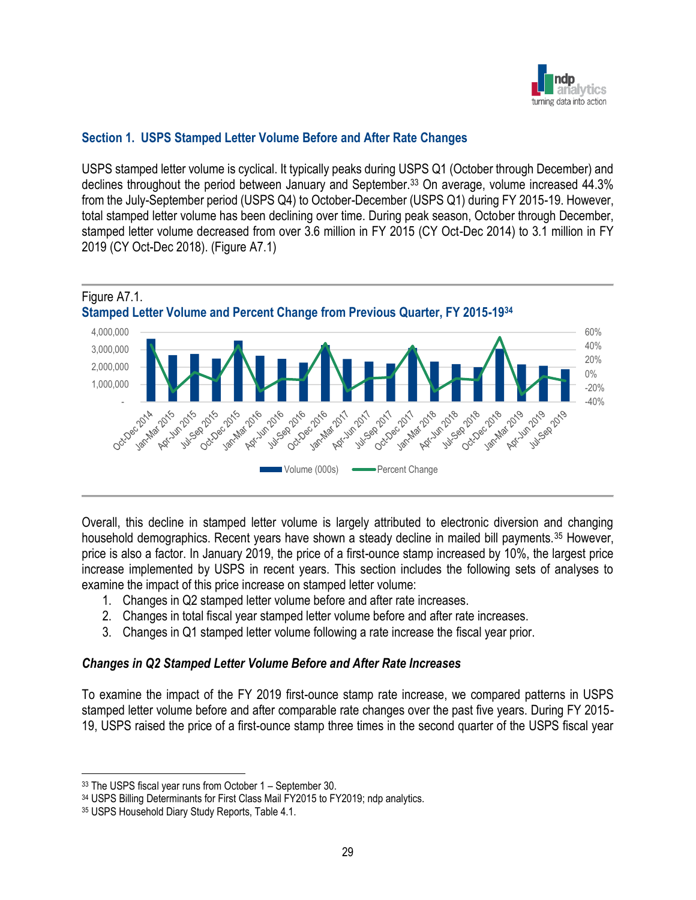

## **Section 1. USPS Stamped Letter Volume Before and After Rate Changes**

USPS stamped letter volume is cyclical. It typically peaks during USPS Q1 (October through December) and declines throughout the period between January and September.<sup>33</sup> On average, volume increased 44.3% from the July-September period (USPS Q4) to October-December (USPS Q1) during FY 2015-19. However, total stamped letter volume has been declining over time. During peak season, October through December, stamped letter volume decreased from over 3.6 million in FY 2015 (CY Oct-Dec 2014) to 3.1 million in FY 2019 (CY Oct-Dec 2018). (Figure A7.1)



Overall, this decline in stamped letter volume is largely attributed to electronic diversion and changing household demographics. Recent years have shown a steady decline in mailed bill payments.<sup>35</sup> However, price is also a factor. In January 2019, the price of a first-ounce stamp increased by 10%, the largest price increase implemented by USPS in recent years. This section includes the following sets of analyses to examine the impact of this price increase on stamped letter volume:

- 1. Changes in Q2 stamped letter volume before and after rate increases.
- 2. Changes in total fiscal year stamped letter volume before and after rate increases.
- 3. Changes in Q1 stamped letter volume following a rate increase the fiscal year prior.

#### *Changes in Q2 Stamped Letter Volume Before and After Rate Increases*

To examine the impact of the FY 2019 first-ounce stamp rate increase, we compared patterns in USPS stamped letter volume before and after comparable rate changes over the past five years. During FY 2015- 19, USPS raised the price of a first-ounce stamp three times in the second quarter of the USPS fiscal year

<sup>33</sup> The USPS fiscal year runs from October 1 – September 30.

<sup>34</sup> USPS Billing Determinants for First Class Mail FY2015 to FY2019; ndp analytics.

<sup>35</sup> USPS Household Diary Study Reports, Table 4.1.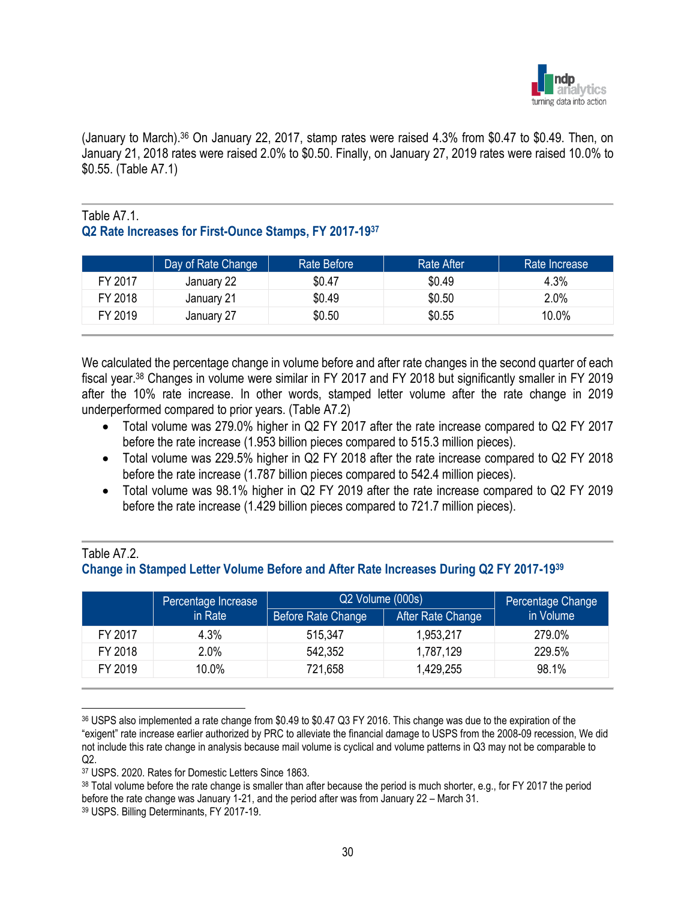

(January to March).<sup>36</sup> On January 22, 2017, stamp rates were raised 4.3% from \$0.47 to \$0.49. Then, on January 21, 2018 rates were raised 2.0% to \$0.50. Finally, on January 27, 2019 rates were raised 10.0% to \$0.55. (Table A7.1)

## Table A7.1. **Q2 Rate Increases for First-Ounce Stamps, FY 2017-19<sup>37</sup>**

|         | Day of Rate Change | Rate Before | <b>Rate After</b> | Rate Increase |
|---------|--------------------|-------------|-------------------|---------------|
| FY 2017 | January 22         | \$0.47      | \$0.49            | 4.3%          |
| FY 2018 | January 21         | \$0.49      | \$0.50            | 2.0%          |
| FY 2019 | January 27         | \$0.50      | \$0.55            | 10.0%         |

We calculated the percentage change in volume before and after rate changes in the second quarter of each fiscal year.<sup>38</sup> Changes in volume were similar in FY 2017 and FY 2018 but significantly smaller in FY 2019 after the 10% rate increase. In other words, stamped letter volume after the rate change in 2019 underperformed compared to prior years. (Table A7.2)

- Total volume was 279.0% higher in Q2 FY 2017 after the rate increase compared to Q2 FY 2017 before the rate increase (1.953 billion pieces compared to 515.3 million pieces).
- Total volume was 229.5% higher in Q2 FY 2018 after the rate increase compared to Q2 FY 2018 before the rate increase (1.787 billion pieces compared to 542.4 million pieces).
- Total volume was 98.1% higher in Q2 FY 2019 after the rate increase compared to Q2 FY 2019 before the rate increase (1.429 billion pieces compared to 721.7 million pieces).

### Table A7.2. **Change in Stamped Letter Volume Before and After Rate Increases During Q2 FY 2017-19<sup>39</sup>**

|         | Percentage Increase | Q2 Volume (000s)   |                   | Percentage Change |  |
|---------|---------------------|--------------------|-------------------|-------------------|--|
|         | in Rate             | Before Rate Change | After Rate Change | in Volume         |  |
| FY 2017 | 4.3%                | 515,347            | 1,953,217         | 279.0%            |  |
| FY 2018 | 2.0%                | 542,352            | 1,787,129         | 229.5%            |  |
| FY 2019 | 10.0%               | 721,658            | 1,429,255         | 98.1%             |  |

<sup>36</sup> USPS also implemented a rate change from \$0.49 to \$0.47 Q3 FY 2016. This change was due to the expiration of the "exigent" rate increase earlier authorized by PRC to alleviate the financial damage to USPS from the 2008-09 recession, We did not include this rate change in analysis because mail volume is cyclical and volume patterns in Q3 may not be comparable to  $Q2$ .

<sup>37</sup> USPS. 2020. Rates for Domestic Letters Since 1863.

<sup>38</sup> Total volume before the rate change is smaller than after because the period is much shorter, e.g., for FY 2017 the period before the rate change was January 1-21, and the period after was from January 22 – March 31.

<sup>39</sup> USPS. Billing Determinants, FY 2017-19.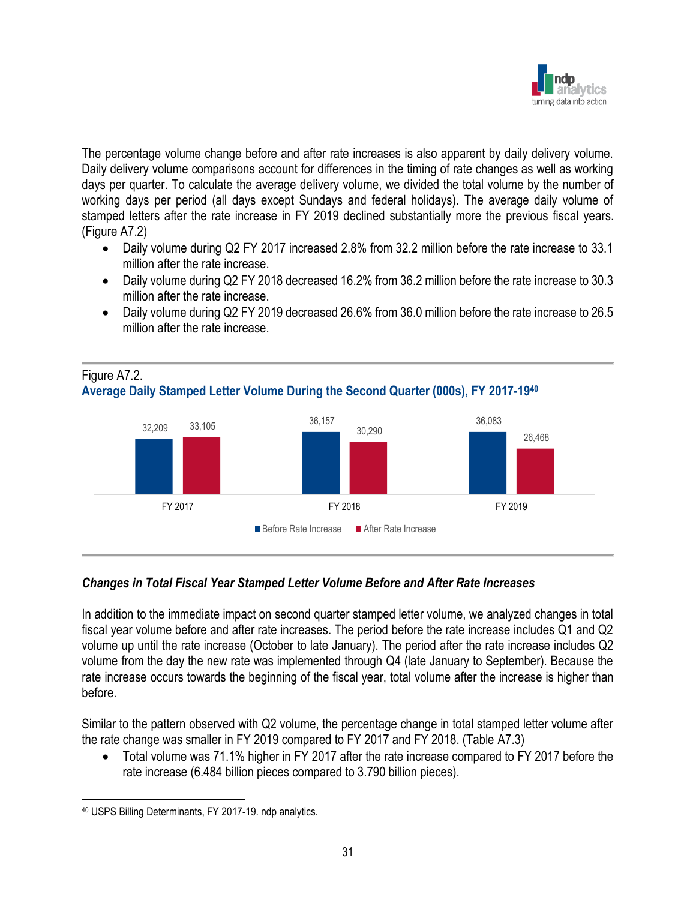

The percentage volume change before and after rate increases is also apparent by daily delivery volume. Daily delivery volume comparisons account for differences in the timing of rate changes as well as working days per quarter. To calculate the average delivery volume, we divided the total volume by the number of working days per period (all days except Sundays and federal holidays). The average daily volume of stamped letters after the rate increase in FY 2019 declined substantially more the previous fiscal years. (Figure A7.2)

- Daily volume during Q2 FY 2017 increased 2.8% from 32.2 million before the rate increase to 33.1 million after the rate increase.
- Daily volume during Q2 FY 2018 decreased 16.2% from 36.2 million before the rate increase to 30.3 million after the rate increase.
- Daily volume during Q2 FY 2019 decreased 26.6% from 36.0 million before the rate increase to 26.5 million after the rate increase.

## Figure A7.2. **Average Daily Stamped Letter Volume During the Second Quarter (000s), FY 2017-19<sup>40</sup>**



## *Changes in Total Fiscal Year Stamped Letter Volume Before and After Rate Increases*

In addition to the immediate impact on second quarter stamped letter volume, we analyzed changes in total fiscal year volume before and after rate increases. The period before the rate increase includes Q1 and Q2 volume up until the rate increase (October to late January). The period after the rate increase includes Q2 volume from the day the new rate was implemented through Q4 (late January to September). Because the rate increase occurs towards the beginning of the fiscal year, total volume after the increase is higher than before.

Similar to the pattern observed with Q2 volume, the percentage change in total stamped letter volume after the rate change was smaller in FY 2019 compared to FY 2017 and FY 2018. (Table A7.3)

• Total volume was 71.1% higher in FY 2017 after the rate increase compared to FY 2017 before the rate increase (6.484 billion pieces compared to 3.790 billion pieces).

<sup>40</sup> USPS Billing Determinants, FY 2017-19. ndp analytics.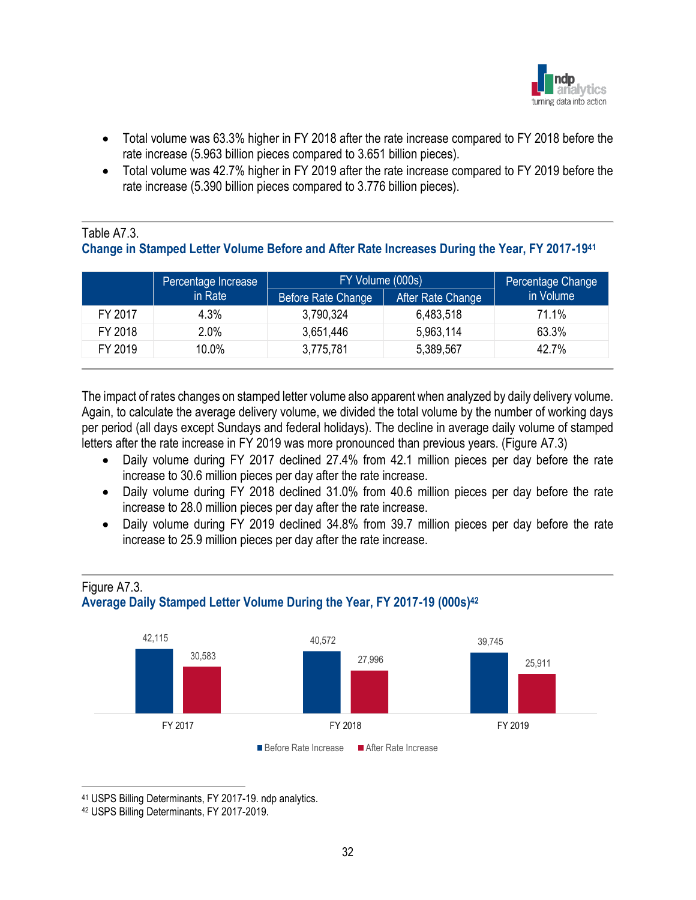

- Total volume was 63.3% higher in FY 2018 after the rate increase compared to FY 2018 before the rate increase (5.963 billion pieces compared to 3.651 billion pieces).
- Total volume was 42.7% higher in FY 2019 after the rate increase compared to FY 2019 before the rate increase (5.390 billion pieces compared to 3.776 billion pieces).

## Table A7.3.

## **Change in Stamped Letter Volume Before and After Rate Increases During the Year, FY 2017-19<sup>41</sup>**

|         | Percentage Increase | FY Volume (000s)   | Percentage Change |           |
|---------|---------------------|--------------------|-------------------|-----------|
|         | in Rate             | Before Rate Change | After Rate Change | in Volume |
| FY 2017 | 4.3%                | 3,790,324          | 6,483,518         | 71.1%     |
| FY 2018 | 2.0%                | 3,651,446          | 5,963,114         | 63.3%     |
| FY 2019 | 10.0%               | 3,775,781          | 5,389,567         | 42.7%     |

The impact of rates changes on stamped letter volume also apparent when analyzed by daily delivery volume. Again, to calculate the average delivery volume, we divided the total volume by the number of working days per period (all days except Sundays and federal holidays). The decline in average daily volume of stamped letters after the rate increase in FY 2019 was more pronounced than previous years. (Figure A7.3)

- Daily volume during FY 2017 declined 27.4% from 42.1 million pieces per day before the rate increase to 30.6 million pieces per day after the rate increase.
- Daily volume during FY 2018 declined 31.0% from 40.6 million pieces per day before the rate increase to 28.0 million pieces per day after the rate increase.
- Daily volume during FY 2019 declined 34.8% from 39.7 million pieces per day before the rate increase to 25.9 million pieces per day after the rate increase.





<sup>41</sup> USPS Billing Determinants, FY 2017-19. ndp analytics.

<sup>42</sup> USPS Billing Determinants, FY 2017-2019.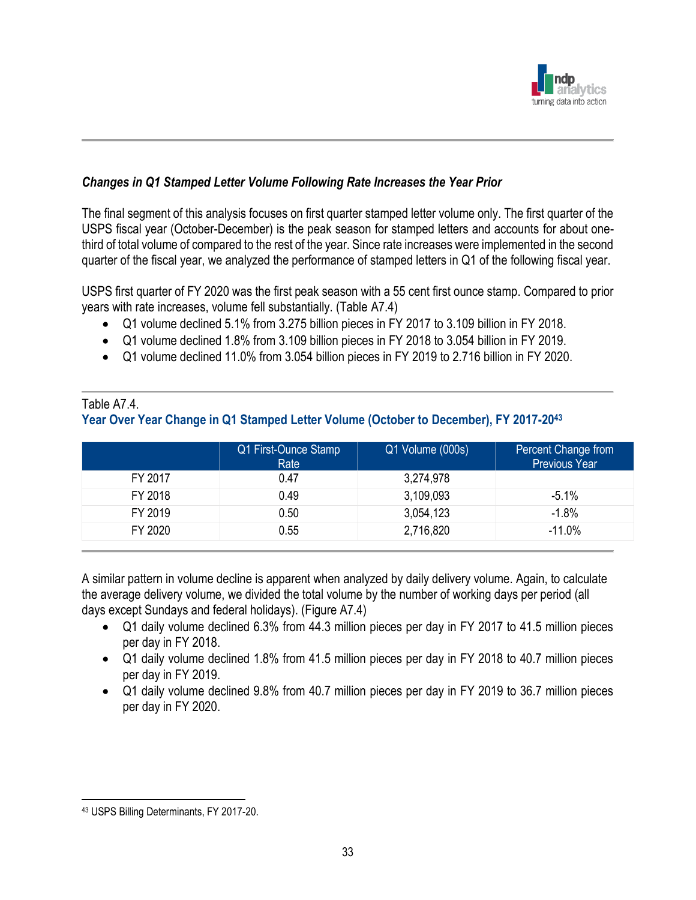

## *Changes in Q1 Stamped Letter Volume Following Rate Increases the Year Prior*

The final segment of this analysis focuses on first quarter stamped letter volume only. The first quarter of the USPS fiscal year (October-December) is the peak season for stamped letters and accounts for about onethird of total volume of compared to the rest of the year. Since rate increases were implemented in the second quarter of the fiscal year, we analyzed the performance of stamped letters in Q1 of the following fiscal year.

USPS first quarter of FY 2020 was the first peak season with a 55 cent first ounce stamp. Compared to prior years with rate increases, volume fell substantially. (Table A7.4)

- Q1 volume declined 5.1% from 3.275 billion pieces in FY 2017 to 3.109 billion in FY 2018.
- Q1 volume declined 1.8% from 3.109 billion pieces in FY 2018 to 3.054 billion in FY 2019.
- Q1 volume declined 11.0% from 3.054 billion pieces in FY 2019 to 2.716 billion in FY 2020.

## Table A74

## **Year Over Year Change in Q1 Stamped Letter Volume (October to December), FY 2017-20<sup>43</sup>**

|         | Q1 First-Ounce Stamp<br>Rate | Q1 Volume (000s) | Percent Change from<br><b>Previous Year</b> |
|---------|------------------------------|------------------|---------------------------------------------|
| FY 2017 | 0.47                         | 3,274,978        |                                             |
| FY 2018 | 0.49                         | 3,109,093        | $-5.1%$                                     |
| FY 2019 | 0.50                         | 3,054,123        | $-1.8%$                                     |
| FY 2020 | 0.55                         | 2,716,820        | $-11.0%$                                    |

A similar pattern in volume decline is apparent when analyzed by daily delivery volume. Again, to calculate the average delivery volume, we divided the total volume by the number of working days per period (all days except Sundays and federal holidays). (Figure A7.4)

- Q1 daily volume declined 6.3% from 44.3 million pieces per day in FY 2017 to 41.5 million pieces per day in FY 2018.
- Q1 daily volume declined 1.8% from 41.5 million pieces per day in FY 2018 to 40.7 million pieces per day in FY 2019.
- Q1 daily volume declined 9.8% from 40.7 million pieces per day in FY 2019 to 36.7 million pieces per day in FY 2020.

<sup>43</sup> USPS Billing Determinants, FY 2017-20.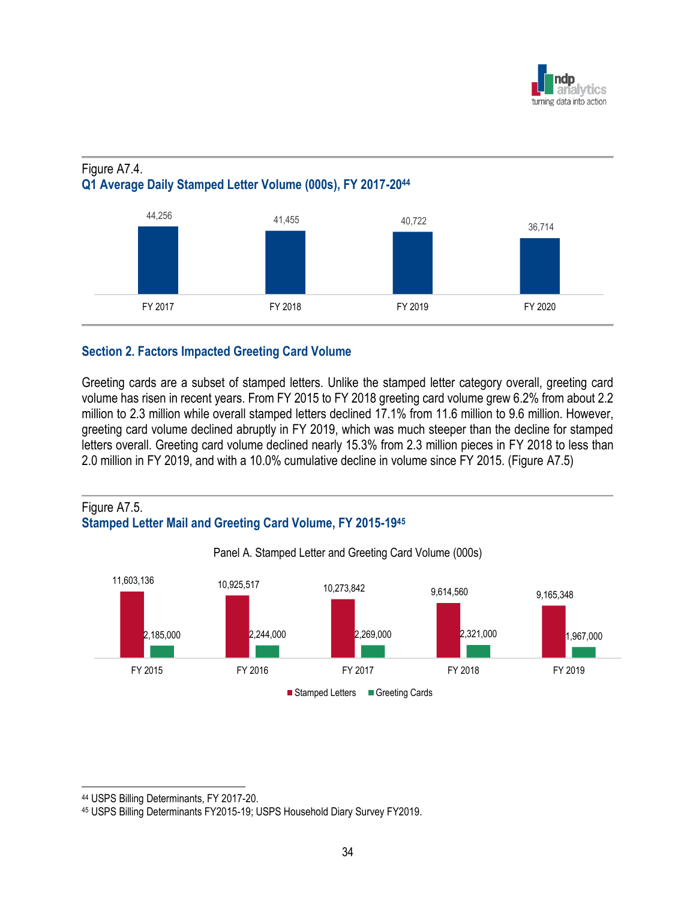

## Figure A7.4. **Q1 Average Daily Stamped Letter Volume (000s), FY 2017-20<sup>44</sup>**



## **Section 2. Factors Impacted Greeting Card Volume**

Greeting cards are a subset of stamped letters. Unlike the stamped letter category overall, greeting card volume has risen in recent years. From FY 2015 to FY 2018 greeting card volume grew 6.2% from about 2.2 million to 2.3 million while overall stamped letters declined 17.1% from 11.6 million to 9.6 million. However, greeting card volume declined abruptly in FY 2019, which was much steeper than the decline for stamped letters overall. Greeting card volume declined nearly 15.3% from 2.3 million pieces in FY 2018 to less than 2.0 million in FY 2019, and with a 10.0% cumulative decline in volume since FY 2015. (Figure A7.5)





Panel A. Stamped Letter and Greeting Card Volume (000s)

<sup>44</sup> USPS Billing Determinants, FY 2017-20.

<sup>45</sup> USPS Billing Determinants FY2015-19; USPS Household Diary Survey FY2019.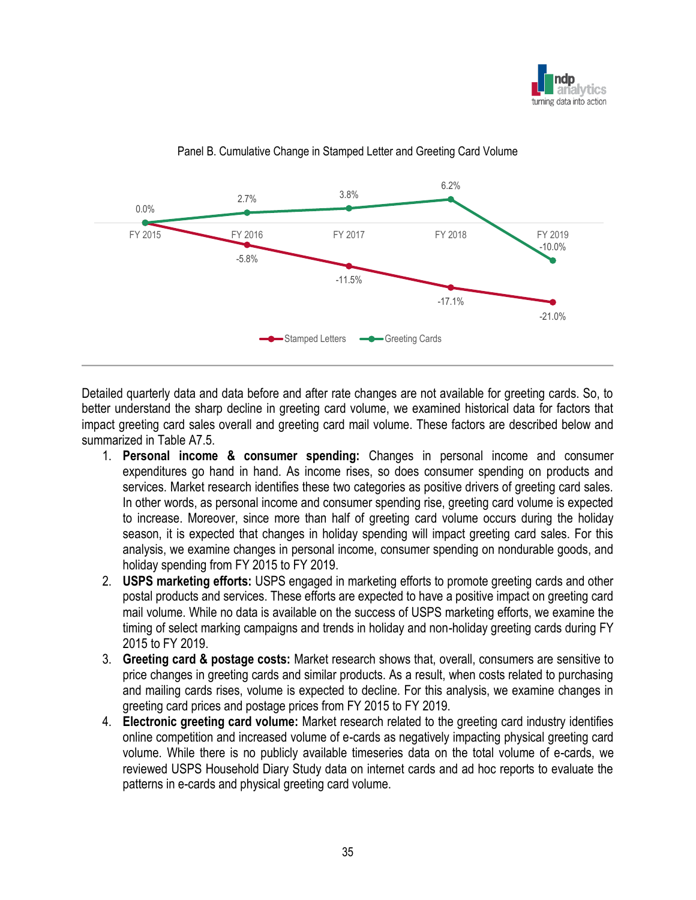



#### Panel B. Cumulative Change in Stamped Letter and Greeting Card Volume

Detailed quarterly data and data before and after rate changes are not available for greeting cards. So, to better understand the sharp decline in greeting card volume, we examined historical data for factors that impact greeting card sales overall and greeting card mail volume. These factors are described below and summarized in Table A7.5.

- 1. **Personal income & consumer spending:** Changes in personal income and consumer expenditures go hand in hand. As income rises, so does consumer spending on products and services. Market research identifies these two categories as positive drivers of greeting card sales. In other words, as personal income and consumer spending rise, greeting card volume is expected to increase. Moreover, since more than half of greeting card volume occurs during the holiday season, it is expected that changes in holiday spending will impact greeting card sales. For this analysis, we examine changes in personal income, consumer spending on nondurable goods, and holiday spending from FY 2015 to FY 2019.
- 2. **USPS marketing efforts:** USPS engaged in marketing efforts to promote greeting cards and other postal products and services. These efforts are expected to have a positive impact on greeting card mail volume. While no data is available on the success of USPS marketing efforts, we examine the timing of select marking campaigns and trends in holiday and non-holiday greeting cards during FY 2015 to FY 2019.
- 3. **Greeting card & postage costs:** Market research shows that, overall, consumers are sensitive to price changes in greeting cards and similar products. As a result, when costs related to purchasing and mailing cards rises, volume is expected to decline. For this analysis, we examine changes in greeting card prices and postage prices from FY 2015 to FY 2019.
- 4. **Electronic greeting card volume:** Market research related to the greeting card industry identifies online competition and increased volume of e-cards as negatively impacting physical greeting card volume. While there is no publicly available timeseries data on the total volume of e-cards, we reviewed USPS Household Diary Study data on internet cards and ad hoc reports to evaluate the patterns in e-cards and physical greeting card volume.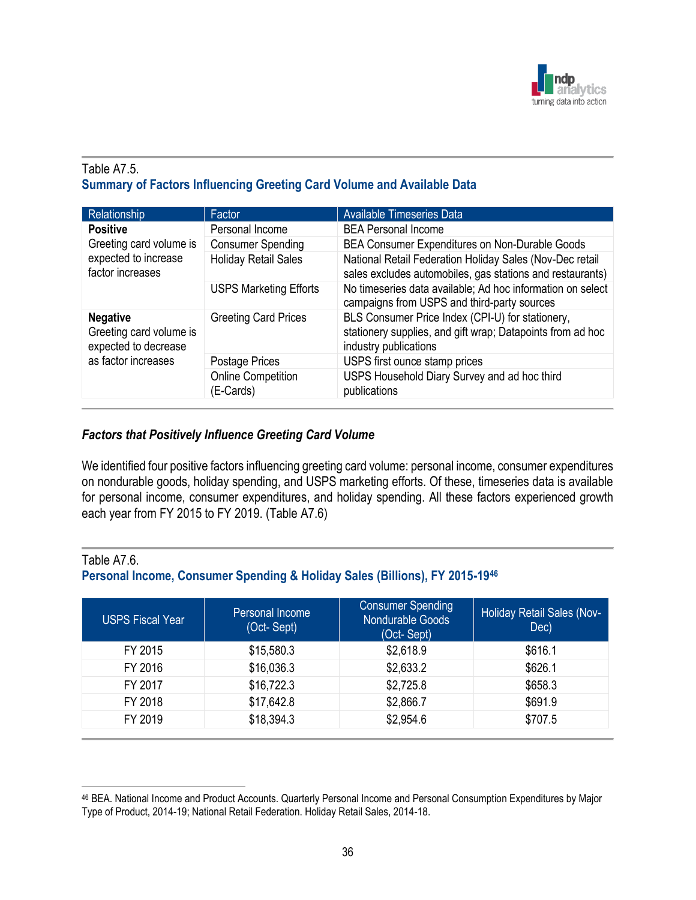

## Table A7.5. **Summary of Factors Influencing Greeting Card Volume and Available Data**

| Relationship                                                        | Factor                                 | <b>Available Timeseries Data</b>                                                                                                        |  |
|---------------------------------------------------------------------|----------------------------------------|-----------------------------------------------------------------------------------------------------------------------------------------|--|
| <b>Positive</b>                                                     | Personal Income                        | <b>BEA Personal Income</b>                                                                                                              |  |
| Greeting card volume is<br>expected to increase<br>factor increases | <b>Consumer Spending</b>               | BEA Consumer Expenditures on Non-Durable Goods                                                                                          |  |
|                                                                     | <b>Holiday Retail Sales</b>            | National Retail Federation Holiday Sales (Nov-Dec retail<br>sales excludes automobiles, gas stations and restaurants)                   |  |
|                                                                     | <b>USPS Marketing Efforts</b>          | No timeseries data available; Ad hoc information on select<br>campaigns from USPS and third-party sources                               |  |
| <b>Negative</b><br>Greeting card volume is<br>expected to decrease  | <b>Greeting Card Prices</b>            | BLS Consumer Price Index (CPI-U) for stationery,<br>stationery supplies, and gift wrap; Datapoints from ad hoc<br>industry publications |  |
| as factor increases                                                 | Postage Prices                         | USPS first ounce stamp prices                                                                                                           |  |
|                                                                     | <b>Online Competition</b><br>(E-Cards) | USPS Household Diary Survey and ad hoc third<br>publications                                                                            |  |

## *Factors that Positively Influence Greeting Card Volume*

We identified four positive factors influencing greeting card volume: personal income, consumer expenditures on nondurable goods, holiday spending, and USPS marketing efforts. Of these, timeseries data is available for personal income, consumer expenditures, and holiday spending. All these factors experienced growth each year from FY 2015 to FY 2019. (Table A7.6)

#### Table A7.6.

## **Personal Income, Consumer Spending & Holiday Sales (Billions), FY 2015-19<sup>46</sup>**

| <b>USPS Fiscal Year</b> | Personal Income<br>(Oct-Sept) | <b>Consumer Spending</b><br>Nondurable Goods<br>(Oct-Sept) | <b>Holiday Retail Sales (Nov-</b><br>Dec) |
|-------------------------|-------------------------------|------------------------------------------------------------|-------------------------------------------|
| FY 2015                 | \$15,580.3                    | \$2,618.9                                                  | \$616.1                                   |
| FY 2016                 | \$16,036.3                    | \$2,633.2                                                  | \$626.1                                   |
| FY 2017                 | \$16,722.3                    | \$2,725.8                                                  | \$658.3                                   |
| FY 2018                 | \$17,642.8                    | \$2,866.7                                                  | \$691.9                                   |
| FY 2019                 | \$18,394.3                    | \$2,954.6                                                  | \$707.5                                   |

<sup>46</sup> BEA. National Income and Product Accounts. Quarterly Personal Income and Personal Consumption Expenditures by Major Type of Product, 2014-19; National Retail Federation. Holiday Retail Sales, 2014-18.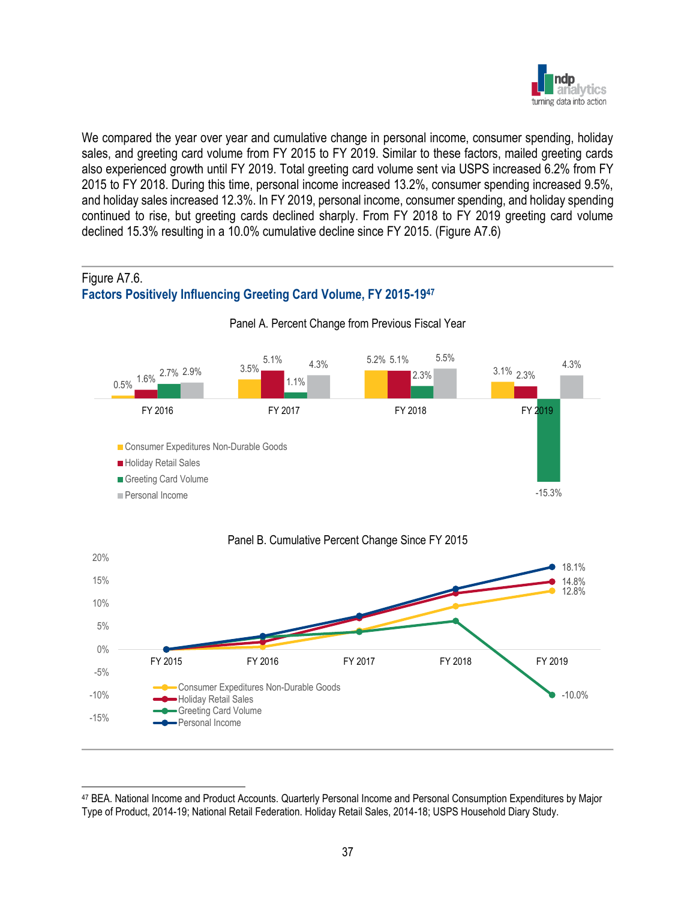

We compared the year over year and cumulative change in personal income, consumer spending, holiday sales, and greeting card volume from FY 2015 to FY 2019. Similar to these factors, mailed greeting cards also experienced growth until FY 2019. Total greeting card volume sent via USPS increased 6.2% from FY 2015 to FY 2018. During this time, personal income increased 13.2%, consumer spending increased 9.5%, and holiday sales increased 12.3%. In FY 2019, personal income, consumer spending, and holiday spending continued to rise, but greeting cards declined sharply. From FY 2018 to FY 2019 greeting card volume declined 15.3% resulting in a 10.0% cumulative decline since FY 2015. (Figure A7.6)

## Figure A7.6. **Factors Positively Influencing Greeting Card Volume, FY 2015-19<sup>47</sup>**



#### Panel A. Percent Change from Previous Fiscal Year

<sup>47</sup> BEA. National Income and Product Accounts. Quarterly Personal Income and Personal Consumption Expenditures by Major Type of Product, 2014-19; National Retail Federation. Holiday Retail Sales, 2014-18; USPS Household Diary Study.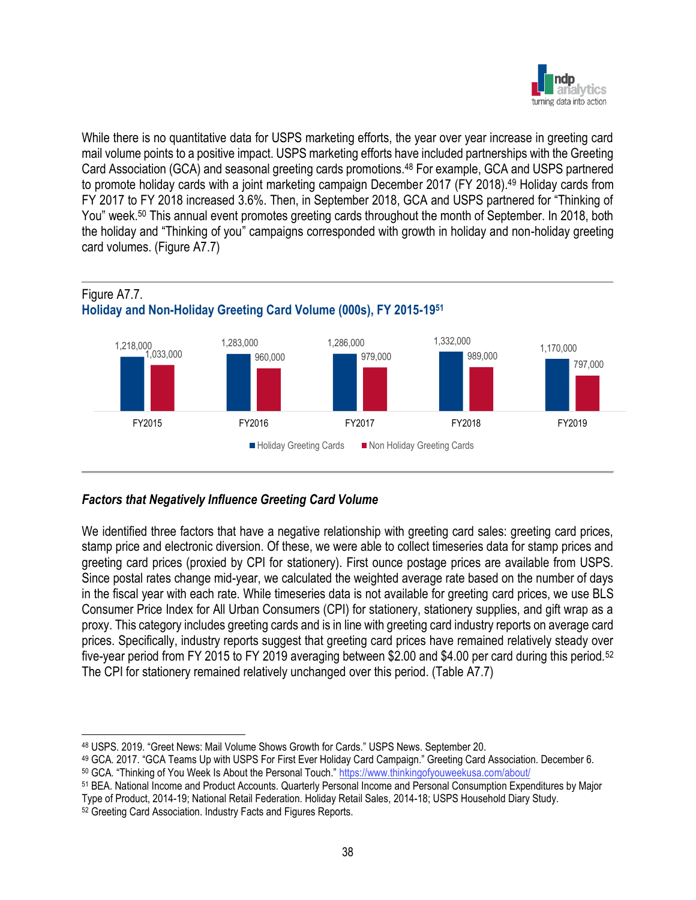

While there is no quantitative data for USPS marketing efforts, the year over year increase in greeting card mail volume points to a positive impact. USPS marketing efforts have included partnerships with the Greeting Card Association (GCA) and seasonal greeting cards promotions.<sup>48</sup> For example, GCA and USPS partnered to promote holiday cards with a joint marketing campaign December 2017 (FY 2018).<sup>49</sup> Holiday cards from FY 2017 to FY 2018 increased 3.6%. Then, in September 2018, GCA and USPS partnered for "Thinking of You" week.<sup>50</sup> This annual event promotes greeting cards throughout the month of September. In 2018, both the holiday and "Thinking of you" campaigns corresponded with growth in holiday and non-holiday greeting card volumes. (Figure A7.7)



## *Factors that Negatively Influence Greeting Card Volume*

We identified three factors that have a negative relationship with greeting card sales: greeting card prices, stamp price and electronic diversion. Of these, we were able to collect timeseries data for stamp prices and greeting card prices (proxied by CPI for stationery). First ounce postage prices are available from USPS. Since postal rates change mid-year, we calculated the weighted average rate based on the number of days in the fiscal year with each rate. While timeseries data is not available for greeting card prices, we use BLS Consumer Price Index for All Urban Consumers (CPI) for stationery, stationery supplies, and gift wrap as a proxy. This category includes greeting cards and is in line with greeting card industry reports on average card prices. Specifically, industry reports suggest that greeting card prices have remained relatively steady over five-year period from FY 2015 to FY 2019 averaging between \$2.00 and \$4.00 per card during this period.<sup>52</sup> The CPI for stationery remained relatively unchanged over this period. (Table A7.7)

<sup>48</sup> USPS. 2019. "Greet News: Mail Volume Shows Growth for Cards." USPS News. September 20.

<sup>49</sup> GCA. 2017. "GCA Teams Up with USPS For First Ever Holiday Card Campaign." Greeting Card Association. December 6. <sup>50</sup> GCA. "Thinking of You Week Is About the Personal Touch." <https://www.thinkingofyouweekusa.com/about/>

<sup>51</sup> BEA. National Income and Product Accounts. Quarterly Personal Income and Personal Consumption Expenditures by Major Type of Product, 2014-19; National Retail Federation. Holiday Retail Sales, 2014-18; USPS Household Diary Study.

<sup>52</sup> Greeting Card Association. Industry Facts and Figures Reports.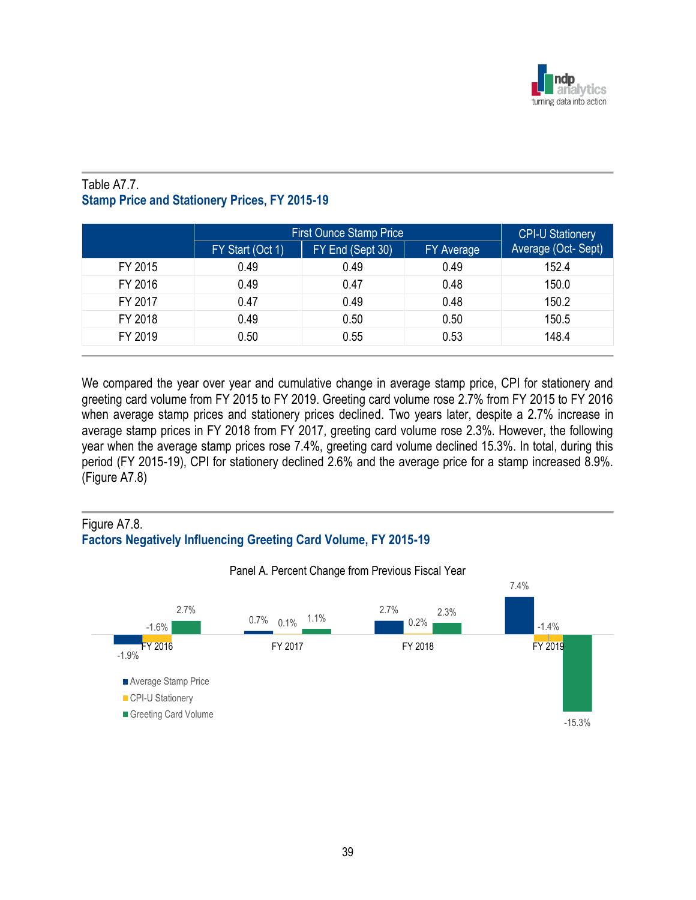

## Table A7.7. **Stamp Price and Stationery Prices, FY 2015-19**

|         | <b>First Ounce Stamp Price</b> |                  |                   |                    |
|---------|--------------------------------|------------------|-------------------|--------------------|
|         | FY Start (Oct 1)               | FY End (Sept 30) | <b>FY Average</b> | Average (Oct-Sept) |
| FY 2015 | 0.49                           | 0.49             | 0.49              | 152.4              |
| FY 2016 | 0.49                           | 0.47             | 0.48              | 150.0              |
| FY 2017 | 0.47                           | 0.49             | 0.48              | 150.2              |
| FY 2018 | 0.49                           | 0.50             | 0.50              | 150.5              |
| FY 2019 | 0.50                           | 0.55             | 0.53              | 148.4              |

We compared the year over year and cumulative change in average stamp price, CPI for stationery and greeting card volume from FY 2015 to FY 2019. Greeting card volume rose 2.7% from FY 2015 to FY 2016 when average stamp prices and stationery prices declined. Two years later, despite a 2.7% increase in average stamp prices in FY 2018 from FY 2017, greeting card volume rose 2.3%. However, the following year when the average stamp prices rose 7.4%, greeting card volume declined 15.3%. In total, during this period (FY 2015-19), CPI for stationery declined 2.6% and the average price for a stamp increased 8.9%. (Figure A7.8)

## Figure A7.8. **Factors Negatively Influencing Greeting Card Volume, FY 2015-19**



Panel A. Percent Change from Previous Fiscal Year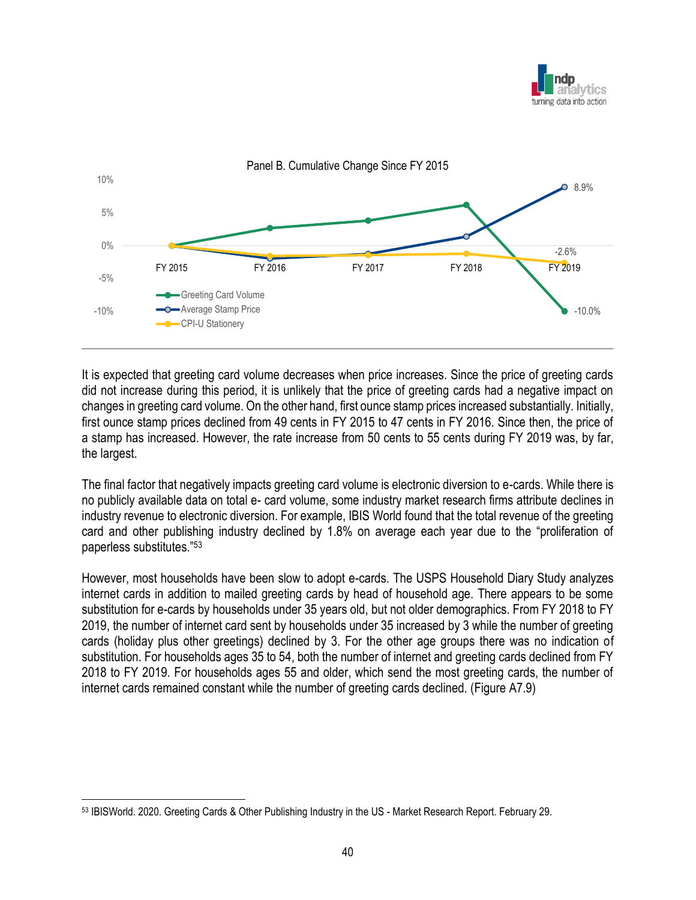



It is expected that greeting card volume decreases when price increases. Since the price of greeting cards did not increase during this period, it is unlikely that the price of greeting cards had a negative impact on changes in greeting card volume. On the other hand, first ounce stamp prices increased substantially. Initially, first ounce stamp prices declined from 49 cents in FY 2015 to 47 cents in FY 2016. Since then, the price of a stamp has increased. However, the rate increase from 50 cents to 55 cents during FY 2019 was, by far, the largest.

The final factor that negatively impacts greeting card volume is electronic diversion to e-cards. While there is no publicly available data on total e- card volume, some industry market research firms attribute declines in industry revenue to electronic diversion. For example, IBIS World found that the total revenue of the greeting card and other publishing industry declined by 1.8% on average each year due to the "proliferation of paperless substitutes."<sup>53</sup>

However, most households have been slow to adopt e-cards. The USPS Household Diary Study analyzes internet cards in addition to mailed greeting cards by head of household age. There appears to be some substitution for e-cards by households under 35 years old, but not older demographics. From FY 2018 to FY 2019, the number of internet card sent by households under 35 increased by 3 while the number of greeting cards (holiday plus other greetings) declined by 3. For the other age groups there was no indication of substitution. For households ages 35 to 54, both the number of internet and greeting cards declined from FY 2018 to FY 2019. For households ages 55 and older, which send the most greeting cards, the number of internet cards remained constant while the number of greeting cards declined. (Figure A7.9)

<sup>53</sup> IBISWorld. 2020. Greeting Cards & Other Publishing Industry in the US - Market Research Report. February 29.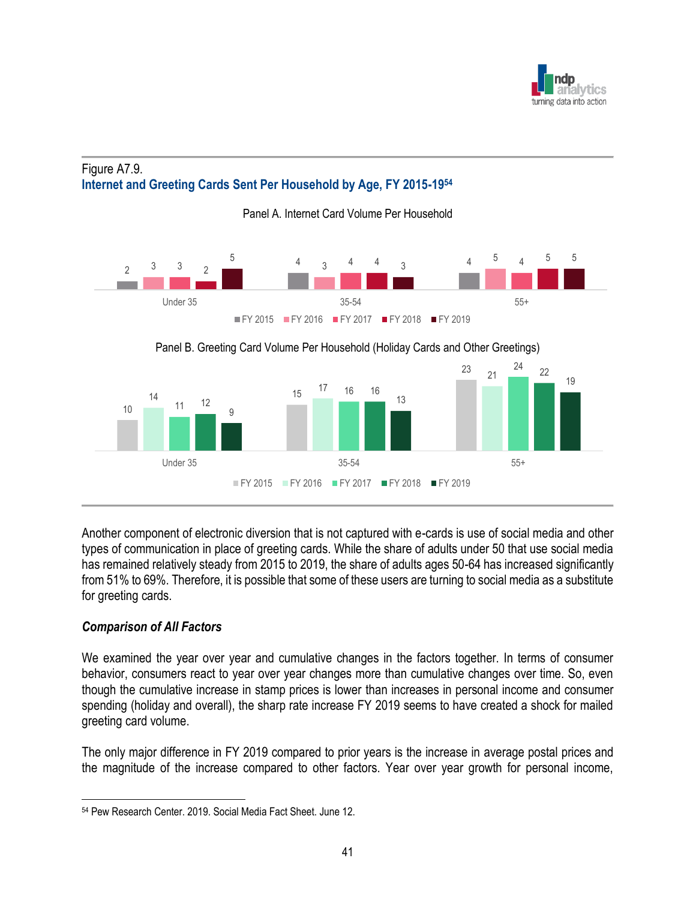

## Figure A7.9. **Internet and Greeting Cards Sent Per Household by Age, FY 2015-19<sup>54</sup>**



Another component of electronic diversion that is not captured with e-cards is use of social media and other types of communication in place of greeting cards. While the share of adults under 50 that use social media has remained relatively steady from 2015 to 2019, the share of adults ages 50-64 has increased significantly from 51% to 69%. Therefore, it is possible that some of these users are turning to social media as a substitute for greeting cards.

## *Comparison of All Factors*

We examined the year over year and cumulative changes in the factors together. In terms of consumer behavior, consumers react to year over year changes more than cumulative changes over time. So, even though the cumulative increase in stamp prices is lower than increases in personal income and consumer spending (holiday and overall), the sharp rate increase FY 2019 seems to have created a shock for mailed greeting card volume.

The only major difference in FY 2019 compared to prior years is the increase in average postal prices and the magnitude of the increase compared to other factors. Year over year growth for personal income,

<sup>54</sup> Pew Research Center. 2019. Social Media Fact Sheet. June 12.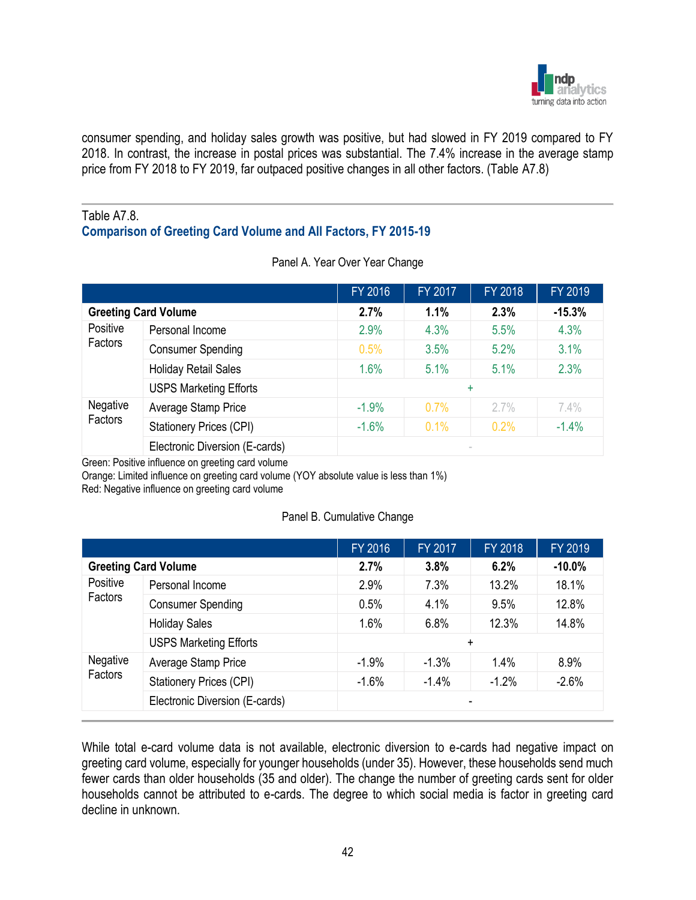

consumer spending, and holiday sales growth was positive, but had slowed in FY 2019 compared to FY 2018. In contrast, the increase in postal prices was substantial. The 7.4% increase in the average stamp price from FY 2018 to FY 2019, far outpaced positive changes in all other factors. (Table A7.8)

#### Table A7.8. **Comparison of Greeting Card Volume and All Factors, FY 2015-19**

|                     |                                | FY 2016 | FY 2017 | FY 2018 | FY 2019  |
|---------------------|--------------------------------|---------|---------|---------|----------|
|                     | <b>Greeting Card Volume</b>    | 2.7%    | 1.1%    | 2.3%    | $-15.3%$ |
| Positive<br>Factors | Personal Income                | 2.9%    | 4.3%    | 5.5%    | 4.3%     |
|                     | <b>Consumer Spending</b>       | 0.5%    | 3.5%    | 5.2%    | 3.1%     |
|                     | <b>Holiday Retail Sales</b>    | 1.6%    | 5.1%    | 5.1%    | 2.3%     |
|                     | <b>USPS Marketing Efforts</b>  |         |         | ÷       |          |
| Negative            | Average Stamp Price            | $-1.9%$ | 0.7%    | $2.7\%$ | 7.4%     |
| Factors             | <b>Stationery Prices (CPI)</b> | $-1.6%$ | 0.1%    | 0.2%    | $-1.4%$  |
|                     | Electronic Diversion (E-cards) |         |         |         |          |

Panel A. Year Over Year Change

Green: Positive influence on greeting card volume

Orange: Limited influence on greeting card volume (YOY absolute value is less than 1%)

Red: Negative influence on greeting card volume

#### Panel B. Cumulative Change

| 2.7%<br>6.2%<br><b>Greeting Card Volume</b><br>3.8%<br>Positive<br>Personal Income<br>2.9%<br>7.3%<br>13.2%<br>Factors<br>4.1%<br><b>Consumer Spending</b><br>0.5%<br>9.5% | $-10.0%$<br>18.1% |
|----------------------------------------------------------------------------------------------------------------------------------------------------------------------------|-------------------|
|                                                                                                                                                                            |                   |
|                                                                                                                                                                            |                   |
|                                                                                                                                                                            | 12.8%             |
| 1.6%<br>6.8%<br>12.3%<br><b>Holiday Sales</b>                                                                                                                              | 14.8%             |
| <b>USPS Marketing Efforts</b><br>$\ddot{}$                                                                                                                                 |                   |
| Negative<br>Average Stamp Price<br>1.4%<br>$-1.9%$<br>$-1.3%$                                                                                                              | 8.9%              |
| Factors<br><b>Stationery Prices (CPI)</b><br>$-1.4%$<br>$-1.2%$<br>$-1.6%$                                                                                                 | $-2.6%$           |
| Electronic Diversion (E-cards)<br>٠                                                                                                                                        |                   |

While total e-card volume data is not available, electronic diversion to e-cards had negative impact on greeting card volume, especially for younger households (under 35). However, these households send much fewer cards than older households (35 and older). The change the number of greeting cards sent for older households cannot be attributed to e-cards. The degree to which social media is factor in greeting card decline in unknown.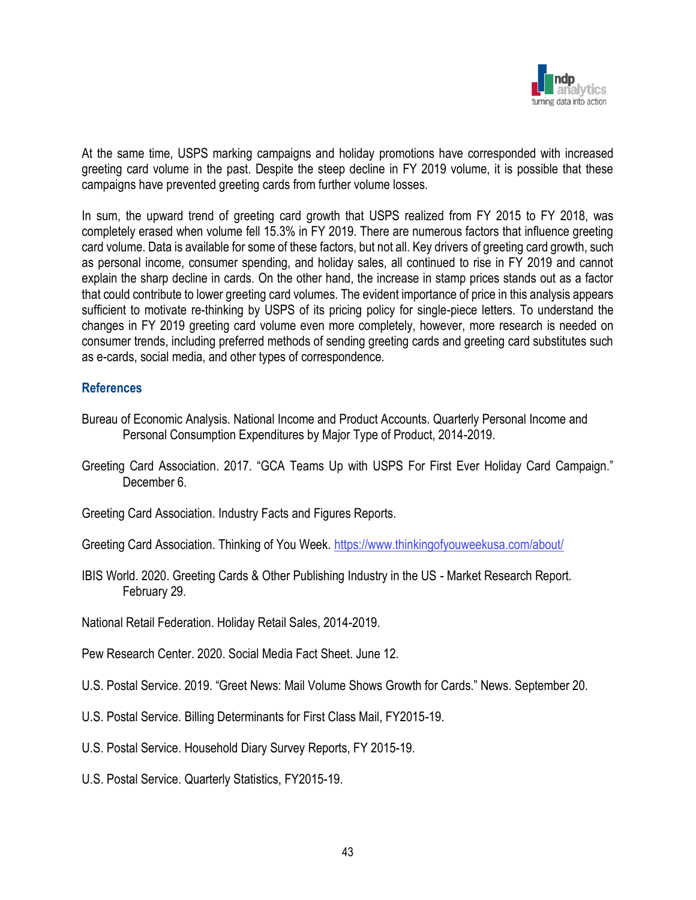

At the same time, USPS marking campaigns and holiday promotions have corresponded with increased greeting card volume in the past. Despite the steep decline in FY 2019 volume, it is possible that these campaigns have prevented greeting cards from further volume losses.

In sum, the upward trend of greeting card growth that USPS realized from FY 2015 to FY 2018, was completely erased when volume fell 15.3% in FY 2019. There are numerous factors that influence greeting card volume. Data is available for some of these factors, but not all. Key drivers of greeting card growth, such as personal income, consumer spending, and holiday sales, all continued to rise in FY 2019 and cannot explain the sharp decline in cards. On the other hand, the increase in stamp prices stands out as a factor that could contribute to lower greeting card volumes. The evident importance of price in this analysis appears sufficient to motivate re-thinking by USPS of its pricing policy for single-piece letters. To understand the changes in FY 2019 greeting card volume even more completely, however, more research is needed on consumer trends, including preferred methods of sending greeting cards and greeting card substitutes such as e-cards, social media, and other types of correspondence.

### **References**

- Bureau of Economic Analysis. National Income and Product Accounts. Quarterly Personal Income and Personal Consumption Expenditures by Major Type of Product, 2014-2019.
- Greeting Card Association. 2017. "GCA Teams Up with USPS For First Ever Holiday Card Campaign." December 6.
- Greeting Card Association. Industry Facts and Figures Reports.
- Greeting Card Association. Thinking of You Week.<https://www.thinkingofyouweekusa.com/about/>
- IBIS World. 2020. Greeting Cards & Other Publishing Industry in the US Market Research Report. February 29.
- National Retail Federation. Holiday Retail Sales, 2014-2019.
- Pew Research Center. 2020. Social Media Fact Sheet. June 12.
- U.S. Postal Service. 2019. "Greet News: Mail Volume Shows Growth for Cards." News. September 20.
- U.S. Postal Service. Billing Determinants for First Class Mail, FY2015-19.
- U.S. Postal Service. Household Diary Survey Reports, FY 2015-19.
- U.S. Postal Service. Quarterly Statistics, FY2015-19.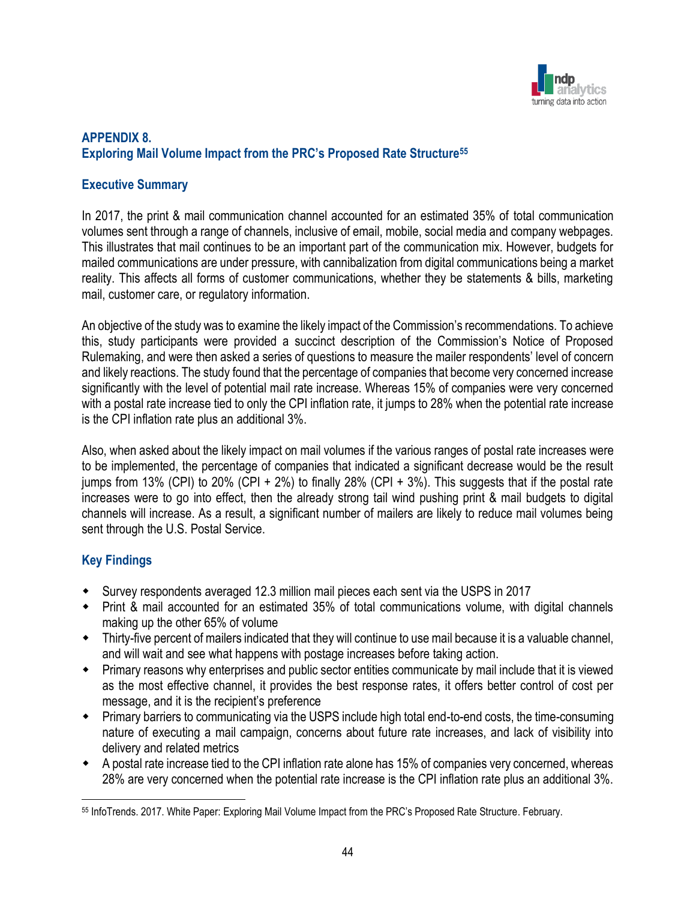

## **APPENDIX 8. Exploring Mail Volume Impact from the PRC's Proposed Rate Structure<sup>55</sup>**

## **Executive Summary**

In 2017, the print & mail communication channel accounted for an estimated 35% of total communication volumes sent through a range of channels, inclusive of email, mobile, social media and company webpages. This illustrates that mail continues to be an important part of the communication mix. However, budgets for mailed communications are under pressure, with cannibalization from digital communications being a market reality. This affects all forms of customer communications, whether they be statements & bills, marketing mail, customer care, or regulatory information.

An objective of the study was to examine the likely impact of the Commission's recommendations. To achieve this, study participants were provided a succinct description of the Commission's Notice of Proposed Rulemaking, and were then asked a series of questions to measure the mailer respondents' level of concern and likely reactions. The study found that the percentage of companies that become very concerned increase significantly with the level of potential mail rate increase. Whereas 15% of companies were very concerned with a postal rate increase tied to only the CPI inflation rate, it jumps to 28% when the potential rate increase is the CPI inflation rate plus an additional 3%.

Also, when asked about the likely impact on mail volumes if the various ranges of postal rate increases were to be implemented, the percentage of companies that indicated a significant decrease would be the result jumps from 13% (CPI) to 20% (CPI + 2%) to finally 28% (CPI + 3%). This suggests that if the postal rate increases were to go into effect, then the already strong tail wind pushing print & mail budgets to digital channels will increase. As a result, a significant number of mailers are likely to reduce mail volumes being sent through the U.S. Postal Service.

## **Key Findings**

- Survey respondents averaged 12.3 million mail pieces each sent via the USPS in 2017
- Print & mail accounted for an estimated 35% of total communications volume, with digital channels making up the other 65% of volume
- Thirty-five percent of mailers indicated that they will continue to use mail because it is a valuable channel, and will wait and see what happens with postage increases before taking action.
- Primary reasons why enterprises and public sector entities communicate by mail include that it is viewed as the most effective channel, it provides the best response rates, it offers better control of cost per message, and it is the recipient's preference
- Primary barriers to communicating via the USPS include high total end-to-end costs, the time-consuming nature of executing a mail campaign, concerns about future rate increases, and lack of visibility into delivery and related metrics
- A postal rate increase tied to the CPI inflation rate alone has 15% of companies very concerned, whereas 28% are very concerned when the potential rate increase is the CPI inflation rate plus an additional 3%.

<sup>55</sup> InfoTrends. 2017. White Paper: Exploring Mail Volume Impact from the PRC's Proposed Rate Structure. February.